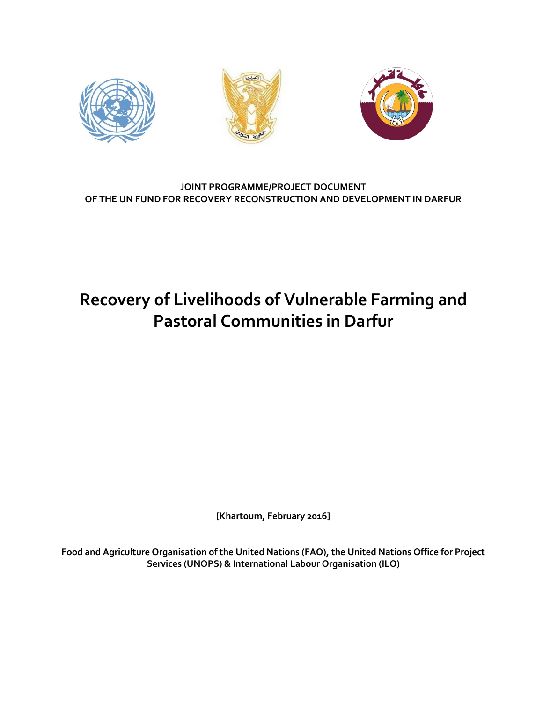

#### **JOINT PROGRAMME/PROJECT DOCUMENT OF THE UN FUND FOR RECOVERY RECONSTRUCTION AND DEVELOPMENT IN DARFUR**

# **Recovery of Livelihoods of Vulnerable Farming and Pastoral Communities in Darfur**

**[Khartoum, February 2016]**

**Food and Agriculture Organisation of the United Nations (FAO), the United Nations Office for Project Services (UNOPS) & International Labour Organisation (ILO)**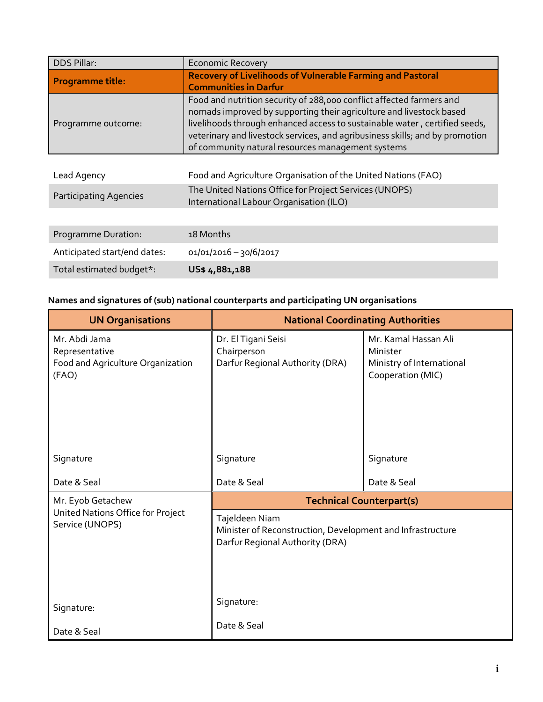| <b>DDS Pillar:</b>            | <b>Economic Recovery</b>                                                                                                                                                                                                                                                                                                                                       |
|-------------------------------|----------------------------------------------------------------------------------------------------------------------------------------------------------------------------------------------------------------------------------------------------------------------------------------------------------------------------------------------------------------|
| <b>Programme title:</b>       | <b>Recovery of Livelihoods of Vulnerable Farming and Pastoral</b><br><b>Communities in Darfur</b>                                                                                                                                                                                                                                                              |
| Programme outcome:            | Food and nutrition security of 288,000 conflict affected farmers and<br>nomads improved by supporting their agriculture and livestock based<br>livelihoods through enhanced access to sustainable water, certified seeds,<br>veterinary and livestock services, and agribusiness skills; and by promotion<br>of community natural resources management systems |
|                               |                                                                                                                                                                                                                                                                                                                                                                |
| Lead Agency                   | Food and Agriculture Organisation of the United Nations (FAO)                                                                                                                                                                                                                                                                                                  |
| <b>Participating Agencies</b> | The United Nations Office for Project Services (UNOPS)<br>International Labour Organisation (ILO)                                                                                                                                                                                                                                                              |
|                               |                                                                                                                                                                                                                                                                                                                                                                |
| Programme Duration:           | 18 Months                                                                                                                                                                                                                                                                                                                                                      |
| Anticipated start/end dates:  | 01/01/2016 - 30/6/2017                                                                                                                                                                                                                                                                                                                                         |
| Total estimated budget*:      | US\$4,881,188                                                                                                                                                                                                                                                                                                                                                  |

### **Names and signatures of (sub) national counterparts and participating UN organisations**

| <b>UN Organisations</b>                                                       | <b>National Coordinating Authorities</b>                                                                        |                                                                                    |  |  |  |
|-------------------------------------------------------------------------------|-----------------------------------------------------------------------------------------------------------------|------------------------------------------------------------------------------------|--|--|--|
| Mr. Abdi Jama<br>Representative<br>Food and Agriculture Organization<br>(FAO) | Dr. El Tigani Seisi<br>Chairperson<br>Darfur Regional Authority (DRA)                                           | Mr. Kamal Hassan Ali<br>Minister<br>Ministry of International<br>Cooperation (MIC) |  |  |  |
| Signature                                                                     | Signature                                                                                                       | Signature                                                                          |  |  |  |
| Date & Seal                                                                   | Date & Seal                                                                                                     | Date & Seal                                                                        |  |  |  |
| Mr. Eyob Getachew                                                             | <b>Technical Counterpart(s)</b>                                                                                 |                                                                                    |  |  |  |
| United Nations Office for Project<br>Service (UNOPS)                          | Tajeldeen Niam<br>Minister of Reconstruction, Development and Infrastructure<br>Darfur Regional Authority (DRA) |                                                                                    |  |  |  |
| Signature:                                                                    | Signature:                                                                                                      |                                                                                    |  |  |  |
| Date & Seal                                                                   | Date & Seal                                                                                                     |                                                                                    |  |  |  |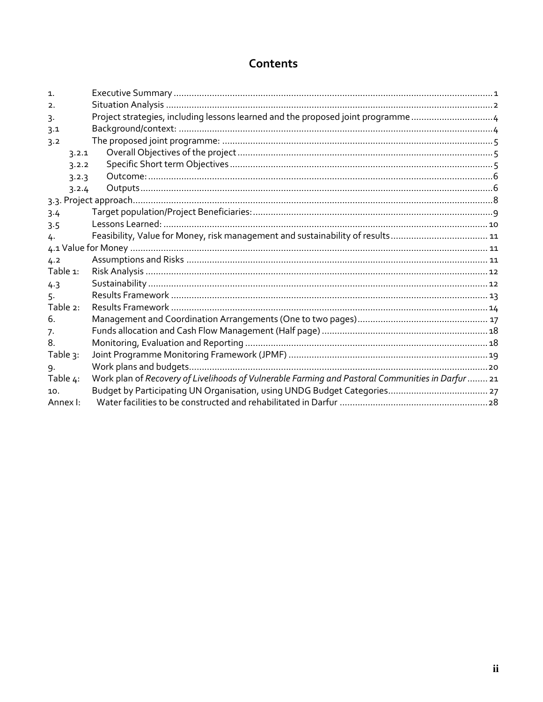### Contents

| $\mathbf{1}$ . |                                                                                                   |  |
|----------------|---------------------------------------------------------------------------------------------------|--|
| 2.             |                                                                                                   |  |
| 3.             | Project strategies, including lessons learned and the proposed joint programme4                   |  |
| 3.1            |                                                                                                   |  |
| 3.2            |                                                                                                   |  |
| 3.2.1          |                                                                                                   |  |
| 3.2.2          |                                                                                                   |  |
| 3.2.3          |                                                                                                   |  |
| 3.2.4          |                                                                                                   |  |
|                |                                                                                                   |  |
| 3.4            |                                                                                                   |  |
| 3.5            |                                                                                                   |  |
| 4.             |                                                                                                   |  |
|                |                                                                                                   |  |
| 4.2            |                                                                                                   |  |
| Table 1:       |                                                                                                   |  |
| 4.3            |                                                                                                   |  |
| 5.             |                                                                                                   |  |
| Table 2:       |                                                                                                   |  |
| 6.             |                                                                                                   |  |
| 7.             |                                                                                                   |  |
| 8.             |                                                                                                   |  |
| Table 3:       |                                                                                                   |  |
| 9.             |                                                                                                   |  |
| Table 4:       | Work plan of Recovery of Livelihoods of Vulnerable Farming and Pastoral Communities in Darfur  21 |  |
| 10.            |                                                                                                   |  |
| Annex I:       |                                                                                                   |  |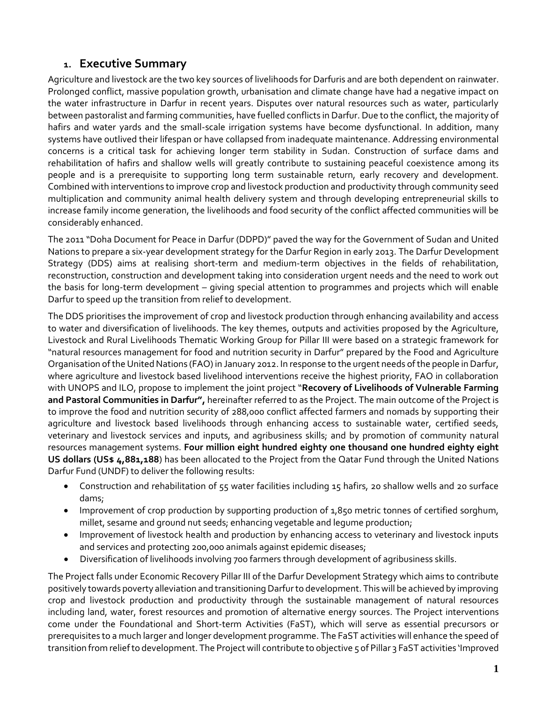### <span id="page-3-0"></span>**1. Executive Summary**

Agriculture and livestock are the two key sources of livelihoods for Darfuris and are both dependent on rainwater. Prolonged conflict, massive population growth, urbanisation and climate change have had a negative impact on the water infrastructure in Darfur in recent years. Disputes over natural resources such as water, particularly between pastoralist and farming communities, have fuelled conflicts in Darfur. Due to the conflict, the majority of hafirs and water yards and the small-scale irrigation systems have become dysfunctional. In addition, many systems have outlived their lifespan or have collapsed from inadequate maintenance. Addressing environmental concerns is a critical task for achieving longer term stability in Sudan. Construction of surface dams and rehabilitation of hafirs and shallow wells will greatly contribute to sustaining peaceful coexistence among its people and is a prerequisite to supporting long term sustainable return, early recovery and development. Combined with interventions to improve crop and livestock production and productivity through community seed multiplication and community animal health delivery system and through developing entrepreneurial skills to increase family income generation, the livelihoods and food security of the conflict affected communities will be considerably enhanced.

The 2011 "Doha Document for Peace in Darfur (DDPD)" paved the way for the Government of Sudan and United Nations to prepare a six-year development strategy for the Darfur Region in early 2013. The Darfur Development Strategy (DDS) aims at realising short-term and medium-term objectives in the fields of rehabilitation, reconstruction, construction and development taking into consideration urgent needs and the need to work out the basis for long-term development – giving special attention to programmes and projects which will enable Darfur to speed up the transition from relief to development.

The DDS prioritises the improvement of crop and livestock production through enhancing availability and access to water and diversification of livelihoods. The key themes, outputs and activities proposed by the Agriculture, Livestock and Rural Livelihoods Thematic Working Group for Pillar III were based on a strategic framework for "natural resources management for food and nutrition security in Darfur" prepared by the Food and Agriculture Organisation of the United Nations (FAO) in January 2012. In response to the urgent needs of the people in Darfur, where agriculture and livestock based livelihood interventions receive the highest priority, FAO in collaboration with UNOPS and ILO, propose to implement the joint project "**Recovery of Livelihoods of Vulnerable Farming and Pastoral Communities in Darfur",** hereinafter referred to as the Project. The main outcome of the Project is to improve the food and nutrition security of 288,000 conflict affected farmers and nomads by supporting their agriculture and livestock based livelihoods through enhancing access to sustainable water, certified seeds, veterinary and livestock services and inputs, and agribusiness skills; and by promotion of community natural resources management systems. **Four million eight hundred eighty one thousand one hundred eighty eight US dollars (US\$ 4,881,188**) has been allocated to the Project from the Qatar Fund through the United Nations Darfur Fund (UNDF) to deliver the following results:

- Construction and rehabilitation of 55 water facilities including 15 hafirs, 20 shallow wells and 20 surface dams;
- Improvement of crop production by supporting production of 1,850 metric tonnes of certified sorghum, millet, sesame and ground nut seeds; enhancing vegetable and legume production;
- Improvement of livestock health and production by enhancing access to veterinary and livestock inputs and services and protecting 200,000 animals against epidemic diseases;
- Diversification of livelihoods involving 700 farmers through development of agribusiness skills.

The Project falls under Economic Recovery Pillar III of the Darfur Development Strategy which aims to contribute positively towards poverty alleviation and transitioning Darfur to development. This will be achieved by improving crop and livestock production and productivity through the sustainable management of natural resources including land, water, forest resources and promotion of alternative energy sources. The Project interventions come under the Foundational and Short-term Activities (FaST), which will serve as essential precursors or prerequisites to a much larger and longer development programme. The FaST activities will enhance the speed of transition from relief to development. The Project will contribute to objective 5 of Pillar 3 FaST activities 'Improved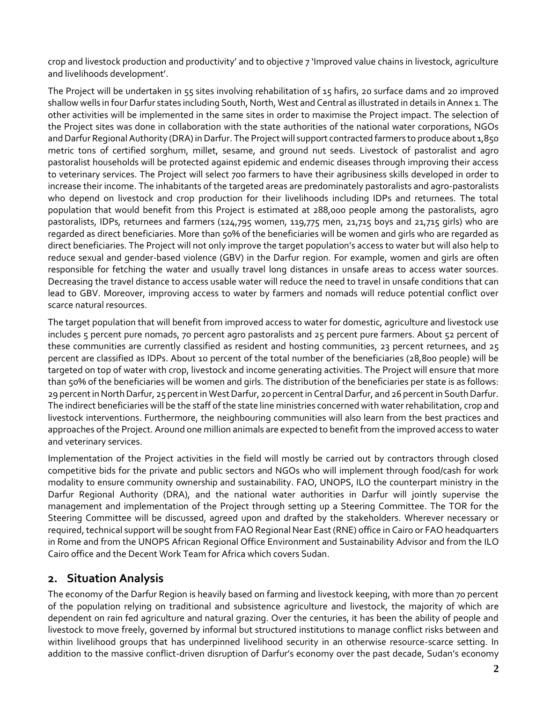crop and livestock production and productivity' and to objective 7 'Improved value chains in livestock, agriculture and livelihoods development'.

The Project will be undertaken in 55 sites involving rehabilitation of 15 hafirs, 20 surface dams and 20 improved shallow wells in four Darfur states including South, North, West and Central as illustrated in details in Annex 1. The other activities will be implemented in the same sites in order to maximise the Project impact. The selection of the Project sites was done in collaboration with the state authorities of the national water corporations, NGOs and Darfur Regional Authority (DRA) in Darfur. The Project will support contracted farmers to produce about 1,850 metric tons of certified sorghum, millet, sesame, and ground nut seeds. Livestock of pastoralist and agro pastoralist households will be protected against epidemic and endemic diseases through improving their access to veterinary services. The Project will select 700 farmers to have their agribusiness skills developed in order to increase their income. The inhabitants of the targeted areas are predominately pastoralists and agro-pastoralists who depend on livestock and crop production for their livelihoods including IDPs and returnees. The total population that would benefit from this Project is estimated at 288,000 people among the pastoralists, agro pastoralists, IDPs, returnees and farmers (124,795 women, 119,775 men, 21,715 boys and 21,715 girls) who are regarded as direct beneficiaries. More than 50% of the beneficiaries will be women and girls who are regarded as direct beneficiaries. The Project will not only improve the target population's access to water but will also help to reduce sexual and gender-based violence (GBV) in the Darfur region. For example, women and girls are often responsible for fetching the water and usually travel long distances in unsafe areas to access water sources. Decreasing the travel distance to access usable water will reduce the need to travel in unsafe conditions that can lead to GBV. Moreover, improving access to water by farmers and nomads will reduce potential conflict over scarce natural resources.

The target population that will benefit from improved access to water for domestic, agriculture and livestock use includes 5 percent pure nomads, 70 percent agro pastoralists and 25 percent pure farmers. About 52 percent of these communities are currently classified as resident and hosting communities, 23 percent returnees, and 25 percent are classified as IDPs. About 10 percent of the total number of the beneficiaries (28,800 people) will be targeted on top of water with crop, livestock and income generating activities. The Project will ensure that more than 50% of the beneficiaries will be women and girls. The distribution of the beneficiaries per state is as follows: 29 percent in North Darfur, 25 percent in West Darfur, 20 percent in Central Darfur, and 26 percent in South Darfur. The indirect beneficiaries will be the staff of the state line ministries concerned with water rehabilitation, crop and livestock interventions. Furthermore, the neighbouring communities will also learn from the best practices and approaches of the Project. Around one million animals are expected to benefit from the improved access to water and veterinary services.

Implementation of the Project activities in the field will mostly be carried out by contractors through closed competitive bids for the private and public sectors and NGOs who will implement through food/cash for work modality to ensure community ownership and sustainability. FAO, UNOPS, ILO the counterpart ministry in the Darfur Regional Authority (DRA), and the national water authorities in Darfur will jointly supervise the management and implementation of the Project through setting up a Steering Committee. The TOR for the Steering Committee will be discussed, agreed upon and drafted by the stakeholders. Wherever necessary or required, technical support will be sought from FAO Regional Near East (RNE) office in Cairo or FAO headquarters in Rome and from the UNOPS African Regional Office Environment and Sustainability Advisor and from the ILO Cairo office and the Decent Work Team for Africa which covers Sudan.

### <span id="page-4-0"></span>**2. Situation Analysis**

The economy of the Darfur Region is heavily based on farming and livestock keeping, with more than 70 percent of the population relying on traditional and subsistence agriculture and livestock, the majority of which are dependent on rain fed agriculture and natural grazing. Over the centuries, it has been the ability of people and livestock to move freely, governed by informal but structured institutions to manage conflict risks between and within livelihood groups that has underpinned livelihood security in an otherwise resource-scarce setting. In addition to the massive conflict-driven disruption of Darfur's economy over the past decade, Sudan's economy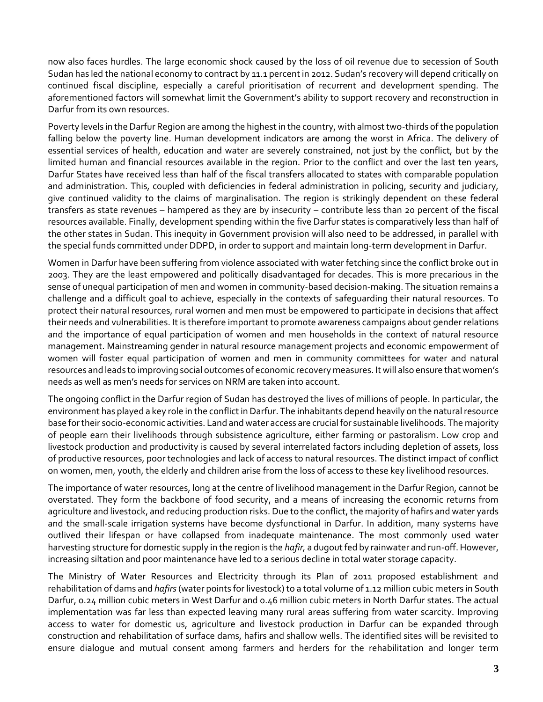now also faces hurdles. The large economic shock caused by the loss of oil revenue due to secession of South Sudan has led the national economy to contract by 11.1 percent in 2012. Sudan's recovery will depend critically on continued fiscal discipline, especially a careful prioritisation of recurrent and development spending. The aforementioned factors will somewhat limit the Government's ability to support recovery and reconstruction in Darfur from its own resources.

Poverty levels in the Darfur Region are among the highest in the country, with almost two-thirds of the population falling below the poverty line. Human development indicators are among the worst in Africa. The delivery of essential services of health, education and water are severely constrained, not just by the conflict, but by the limited human and financial resources available in the region. Prior to the conflict and over the last ten years, Darfur States have received less than half of the fiscal transfers allocated to states with comparable population and administration. This, coupled with deficiencies in federal administration in policing, security and judiciary, give continued validity to the claims of marginalisation. The region is strikingly dependent on these federal transfers as state revenues – hampered as they are by insecurity – contribute less than 20 percent of the fiscal resources available. Finally, development spending within the five Darfur states is comparatively less than half of the other states in Sudan. This inequity in Government provision will also need to be addressed, in parallel with the special funds committed under DDPD, in order to support and maintain long-term development in Darfur.

Women in Darfur have been suffering from violence associated with water fetching since the conflict broke out in 2003. They are the least empowered and politically disadvantaged for decades. This is more precarious in the sense of unequal participation of men and women in community-based decision-making. The situation remains a challenge and a difficult goal to achieve, especially in the contexts of safeguarding their natural resources. To protect their natural resources, rural women and men must be empowered to participate in decisions that affect their needs and vulnerabilities. It is therefore important to promote awareness campaigns about gender relations and the importance of equal participation of women and men households in the context of natural resource management. Mainstreaming gender in natural resource management projects and economic empowerment of women will foster equal participation of women and men in community committees for water and natural resources and leads to improving social outcomes of economic recovery measures. It will also ensure that women's needs as well as men's needs for services on NRM are taken into account.

The ongoing conflict in the Darfur region of Sudan has destroyed the lives of millions of people. In particular, the environment has played a key role in the conflict in Darfur. The inhabitants depend heavily on the natural resource base for their socio-economic activities. Land and water access are crucial for sustainable livelihoods. The majority of people earn their livelihoods through subsistence agriculture, either farming or pastoralism. Low crop and livestock production and productivity is caused by several interrelated factors including depletion of assets, loss of productive resources, poor technologies and lack of access to natural resources. The distinct impact of conflict on women, men, youth, the elderly and children arise from the loss of access to these key livelihood resources.

The importance of water resources, long at the centre of livelihood management in the Darfur Region, cannot be overstated. They form the backbone of food security, and a means of increasing the economic returns from agriculture and livestock, and reducing production risks. Due to the conflict, the majority of hafirs and water yards and the small-scale irrigation systems have become dysfunctional in Darfur. In addition, many systems have outlived their lifespan or have collapsed from inadequate maintenance. The most commonly used water harvesting structure for domestic supply in the region is the *hafir,* a dugout fed by rainwater and run-off. However, increasing siltation and poor maintenance have led to a serious decline in total water storage capacity.

The Ministry of Water Resources and Electricity through its Plan of 2011 proposed establishment and rehabilitation of dams and *hafirs*(water points for livestock) to a total volume of 1.12 million cubic meters in South Darfur, 0.24 million cubic meters in West Darfur and 0.46 million cubic meters in North Darfur states. The actual implementation was far less than expected leaving many rural areas suffering from water scarcity. Improving access to water for domestic us, agriculture and livestock production in Darfur can be expanded through construction and rehabilitation of surface dams, hafirs and shallow wells. The identified sites will be revisited to ensure dialogue and mutual consent among farmers and herders for the rehabilitation and longer term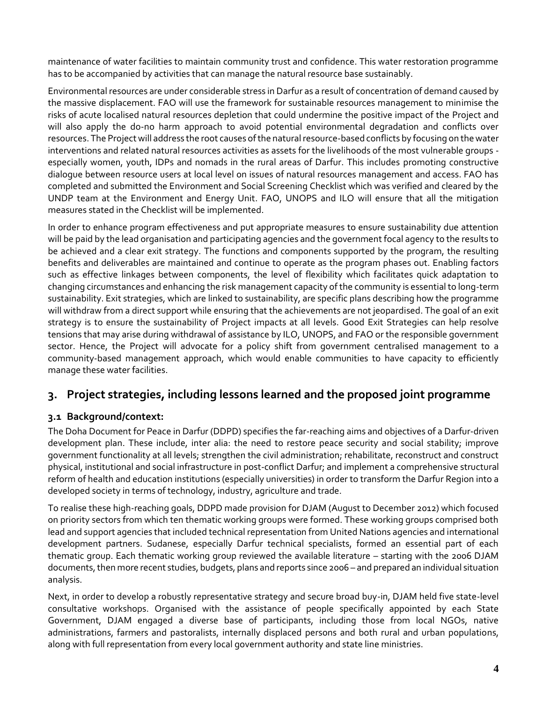maintenance of water facilities to maintain community trust and confidence. This water restoration programme has to be accompanied by activities that can manage the natural resource base sustainably.

Environmental resources are under considerable stress in Darfur as a result of concentration of demand caused by the massive displacement. FAO will use the framework for sustainable resources management to minimise the risks of acute localised natural resources depletion that could undermine the positive impact of the Project and will also apply the do-no harm approach to avoid potential environmental degradation and conflicts over resources. The Projectwill address the root causes of the natural resource-based conflicts by focusing on the water interventions and related natural resources activities as assets for the livelihoods of the most vulnerable groups especially women, youth, IDPs and nomads in the rural areas of Darfur. This includes promoting constructive dialogue between resource users at local level on issues of natural resources management and access. FAO has completed and submitted the Environment and Social Screening Checklist which was verified and cleared by the UNDP team at the Environment and Energy Unit. FAO, UNOPS and ILO will ensure that all the mitigation measures stated in the Checklist will be implemented.

In order to enhance program effectiveness and put appropriate measures to ensure sustainability due attention will be paid by the lead organisation and participating agencies and the government focal agency to the results to be achieved and a clear exit strategy. The functions and components supported by the program, the resulting benefits and deliverables are maintained and continue to operate as the program phases out. Enabling factors such as effective linkages between components, the level of flexibility which facilitates quick adaptation to changing circumstances and enhancing the risk management capacity of the community is essential to long-term sustainability. Exit strategies, which are linked to sustainability, are specific plans describing how the programme will withdraw from a direct support while ensuring that the achievements are not jeopardised. The goal of an exit strategy is to ensure the sustainability of Project impacts at all levels. Good Exit Strategies can help resolve tensions that may arise during withdrawal of assistance by ILO, UNOPS, and FAO or the responsible government sector. Hence, the Project will advocate for a policy shift from government centralised management to a community-based management approach, which would enable communities to have capacity to efficiently manage these water facilities.

### <span id="page-6-0"></span>**3. Project strategies, including lessons learned and the proposed joint programme**

#### <span id="page-6-1"></span>**3.1 Background/context:**

The Doha Document for Peace in Darfur (DDPD) specifies the far-reaching aims and objectives of a Darfur-driven development plan. These include, inter alia: the need to restore peace security and social stability; improve government functionality at all levels; strengthen the civil administration; rehabilitate, reconstruct and construct physical, institutional and social infrastructure in post-conflict Darfur; and implement a comprehensive structural reform of health and education institutions (especially universities) in order to transform the Darfur Region into a developed society in terms of technology, industry, agriculture and trade.

To realise these high-reaching goals, DDPD made provision for DJAM (August to December 2012) which focused on priority sectors from which ten thematic working groups were formed. These working groups comprised both lead and support agencies that included technical representation from United Nations agencies and international development partners. Sudanese, especially Darfur technical specialists, formed an essential part of each thematic group. Each thematic working group reviewed the available literature – starting with the 2006 DJAM documents, then more recent studies, budgets, plans and reports since 2006 – and prepared an individual situation analysis.

Next, in order to develop a robustly representative strategy and secure broad buy-in, DJAM held five state-level consultative workshops. Organised with the assistance of people specifically appointed by each State Government, DJAM engaged a diverse base of participants, including those from local NGOs, native administrations, farmers and pastoralists, internally displaced persons and both rural and urban populations, along with full representation from every local government authority and state line ministries.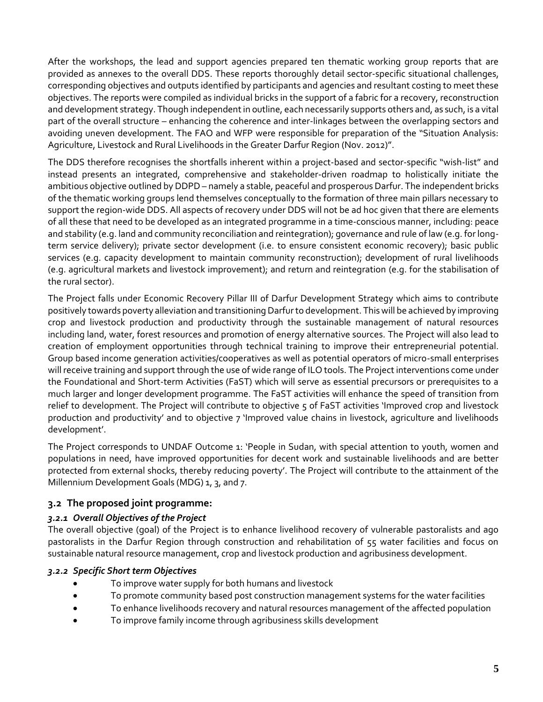After the workshops, the lead and support agencies prepared ten thematic working group reports that are provided as annexes to the overall DDS. These reports thoroughly detail sector-specific situational challenges, corresponding objectives and outputs identified by participants and agencies and resultant costing to meet these objectives. The reports were compiled as individual bricks in the support of a fabric for a recovery, reconstruction and development strategy. Though independent in outline, each necessarily supports others and, as such, is a vital part of the overall structure – enhancing the coherence and inter-linkages between the overlapping sectors and avoiding uneven development. The FAO and WFP were responsible for preparation of the "Situation Analysis: Agriculture, Livestock and Rural Livelihoods in the Greater Darfur Region (Nov. 2012)".

The DDS therefore recognises the shortfalls inherent within a project-based and sector-specific "wish-list" and instead presents an integrated, comprehensive and stakeholder-driven roadmap to holistically initiate the ambitious objective outlined by DDPD – namely a stable, peaceful and prosperous Darfur. The independent bricks of the thematic working groups lend themselves conceptually to the formation of three main pillars necessary to support the region-wide DDS. All aspects of recovery under DDS will not be ad hoc given that there are elements of all these that need to be developed as an integrated programme in a time-conscious manner, including: peace and stability (e.g. land and community reconciliation and reintegration); governance and rule of law (e.g. for longterm service delivery); private sector development (i.e. to ensure consistent economic recovery); basic public services (e.g. capacity development to maintain community reconstruction); development of rural livelihoods (e.g. agricultural markets and livestock improvement); and return and reintegration (e.g. for the stabilisation of the rural sector).

The Project falls under Economic Recovery Pillar III of Darfur Development Strategy which aims to contribute positively towards poverty alleviation and transitioning Darfur to development. This will be achieved by improving crop and livestock production and productivity through the sustainable management of natural resources including land, water, forest resources and promotion of energy alternative sources. The Project will also lead to creation of employment opportunities through technical training to improve their entrepreneurial potential. Group based income generation activities/cooperatives as well as potential operators of micro-small enterprises will receive training and support through the use of wide range of ILO tools. The Project interventions come under the Foundational and Short-term Activities (FaST) which will serve as essential precursors or prerequisites to a much larger and longer development programme. The FaST activities will enhance the speed of transition from relief to development. The Project will contribute to objective 5 of FaST activities 'Improved crop and livestock production and productivity' and to objective 7 'Improved value chains in livestock, agriculture and livelihoods development'.

The Project corresponds to UNDAF Outcome 1: 'People in Sudan, with special attention to youth, women and populations in need, have improved opportunities for decent work and sustainable livelihoods and are better protected from external shocks, thereby reducing poverty'. The Project will contribute to the attainment of the Millennium Development Goals (MDG) 1, 3, and 7.

#### <span id="page-7-0"></span>**3.2 The proposed joint programme:**

#### <span id="page-7-1"></span>*3.2.1 Overall Objectives of the Project*

The overall objective (goal) of the Project is to enhance livelihood recovery of vulnerable pastoralists and ago pastoralists in the Darfur Region through construction and rehabilitation of 55 water facilities and focus on sustainable natural resource management, crop and livestock production and agribusiness development.

#### <span id="page-7-2"></span>*3.2.2 Specific Short term Objectives*

- To improve water supply for both humans and livestock
- To promote community based post construction management systems for the water facilities
- To enhance livelihoods recovery and natural resources management of the affected population
- To improve family income through agribusiness skills development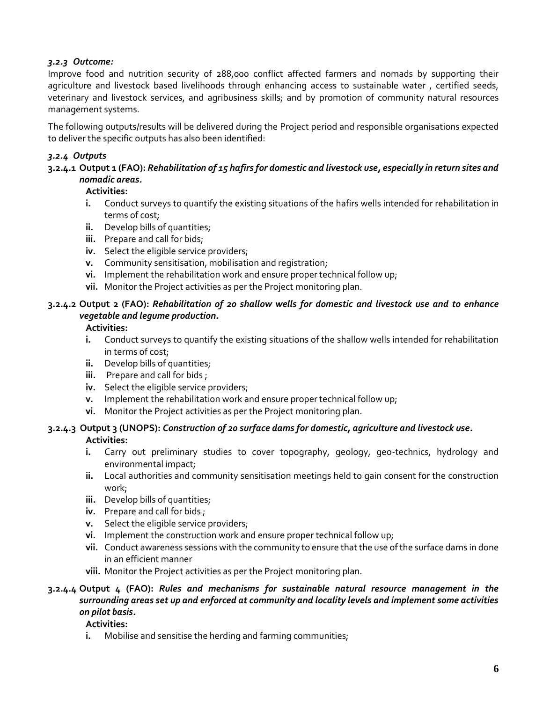#### <span id="page-8-0"></span>*3.2.3 Outcome:*

Improve food and nutrition security of 288,000 conflict affected farmers and nomads by supporting their agriculture and livestock based livelihoods through enhancing access to sustainable water, certified seeds, veterinary and livestock services, and agribusiness skills; and by promotion of community natural resources management systems.

The following outputs/results will be delivered during the Project period and responsible organisations expected to deliver the specific outputs has also been identified:

#### <span id="page-8-1"></span>*3.2.4 Outputs*

#### **3.2.4.1 Output 1 (FAO):** *Rehabilitation of 15 hafirs for domestic and livestock use, especially in return sites and nomadic areas.*

#### **Activities:**

- **i.** Conduct surveys to quantify the existing situations of the hafirs wells intended for rehabilitation in terms of cost;
- **ii.** Develop bills of quantities;
- **iii.** Prepare and call for bids;
- **iv.** Select the eligible service providers;
- **v.** Community sensitisation, mobilisation and registration;
- **vi.** Implement the rehabilitation work and ensure proper technical follow up;
- **vii.** Monitor the Project activities as per the Project monitoring plan.

#### **3.2.4.2 Output 2 (FAO):** *Rehabilitation of 20 shallow wells for domestic and livestock use and to enhance vegetable and legume production.*

#### **Activities:**

- **i.** Conduct surveys to quantify the existing situations of the shallow wells intended for rehabilitation in terms of cost;
- **ii.** Develop bills of quantities;
- **iii.** Prepare and call for bids ;
- **iv.** Select the eligible service providers;
- **v.** Implement the rehabilitation work and ensure proper technical follow up;
- **vi.** Monitor the Project activities as per the Project monitoring plan.

#### **3.2.4.3 Output 3 (UNOPS):** *Construction of 20 surface dams for domestic, agriculture and livestock use.* **Activities:**

- **i.** Carry out preliminary studies to cover topography, geology, geo-technics, hydrology and environmental impact;
- **ii.** Local authorities and community sensitisation meetings held to gain consent for the construction work;
- **iii.** Develop bills of quantities;
- **iv.** Prepare and call for bids ;
- **v.** Select the eligible service providers;
- **vi.** Implement the construction work and ensure proper technical follow up;
- **vii.** Conduct awareness sessions with the community to ensure that the use of the surface dams in done in an efficient manner
- **viii.** Monitor the Project activities as per the Project monitoring plan.

#### **3.2.4.4 Output 4 (FAO):** *Rules and mechanisms for sustainable natural resource management in the surrounding areas set up and enforced at community and locality levels and implement some activities on pilot basis.*

#### **Activities:**

**i.** Mobilise and sensitise the herding and farming communities;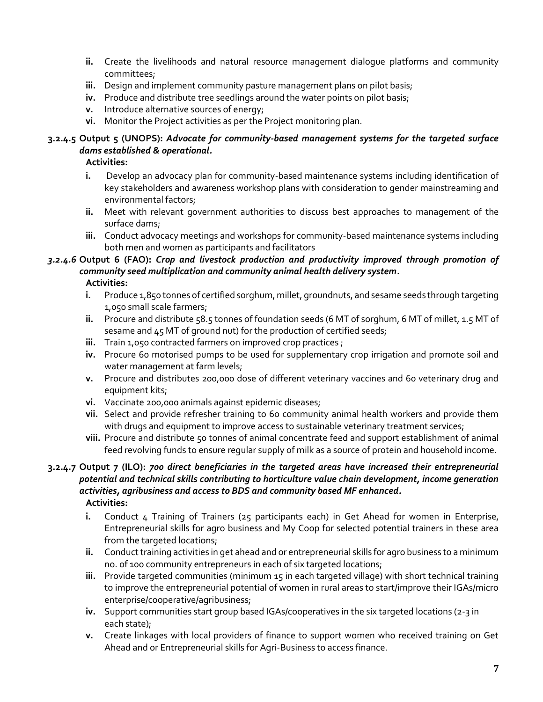- **ii.** Create the livelihoods and natural resource management dialogue platforms and community committees;
- **iii.** Design and implement community pasture management plans on pilot basis;
- **iv.** Produce and distribute tree seedlings around the water points on pilot basis;
- **v.** Introduce alternative sources of energy;
- **vi.** Monitor the Project activities as per the Project monitoring plan.

#### **3.2.4.5 Output 5 (UNOPS):** *Advocate for community-based management systems for the targeted surface dams established & operational.*

**Activities:**

- **i.** Develop an advocacy plan for community-based maintenance systems including identification of key stakeholders and awareness workshop plans with consideration to gender mainstreaming and environmental factors;
- **ii.** Meet with relevant government authorities to discuss best approaches to management of the surface dams;
- **iii.** Conduct advocacy meetings and workshops for community-based maintenance systems including both men and women as participants and facilitators

#### *3.2.4.6* **Output 6 (FAO):** *Crop and livestock production and productivity improved through promotion of community seed multiplication and community animal health delivery system.*

**Activities:**

- **i.** Produce 1,850 tonnes of certified sorghum, millet, groundnuts, and sesame seeds through targeting 1,050 small scale farmers;
- **ii.** Procure and distribute 58.5 tonnes of foundation seeds (6 MT of sorghum, 6 MT of millet, 1.5 MT of sesame and 45 MT of ground nut) for the production of certified seeds;
- iii. Train 1,050 contracted farmers on improved crop practices ;
- **iv.** Procure 60 motorised pumps to be used for supplementary crop irrigation and promote soil and water management at farm levels;
- **v.** Procure and distributes 200,000 dose of different veterinary vaccines and 60 veterinary drug and equipment kits;
- **vi.** Vaccinate 200,000 animals against epidemic diseases;
- **vii.** Select and provide refresher training to 6o community animal health workers and provide them with drugs and equipment to improve access to sustainable veterinary treatment services;
- viii. Procure and distribute 50 tonnes of animal concentrate feed and support establishment of animal feed revolving funds to ensure regular supply of milk as a source of protein and household income.

#### **3.2.4.7 Output 7 (ILO):** *700 direct beneficiaries in the targeted areas have increased their entrepreneurial potential and technical skills contributing to horticulture value chain development, income generation activities, agribusiness and access to BDS and community based MF enhanced.* **Activities:**

- **i.** Conduct 4 Training of Trainers (25 participants each) in Get Ahead for women in Enterprise, Entrepreneurial skills for agro business and My Coop for selected potential trainers in these area from the targeted locations;
- **ii.** Conduct training activities in get ahead and or entrepreneurial skills for agro business to a minimum no. of 100 community entrepreneurs in each of six targeted locations;
- **iii.** Provide targeted communities (minimum 15 in each targeted village) with short technical training to improve the entrepreneurial potential of women in rural areas to start/improve their IGAs/micro enterprise/cooperative/agribusiness;
- **iv.** Support communities start group based IGAs/cooperatives in the six targeted locations (2-3 in each state);
- **v.** Create linkages with local providers of finance to support women who received training on Get Ahead and or Entrepreneurial skills for Agri-Business to access finance.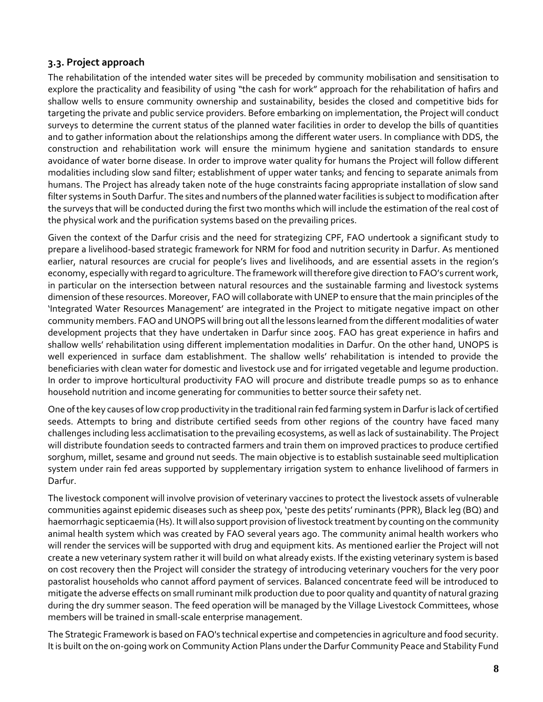#### <span id="page-10-0"></span>**3.3. Project approach**

The rehabilitation of the intended water sites will be preceded by community mobilisation and sensitisation to explore the practicality and feasibility of using "the cash for work" approach for the rehabilitation of hafirs and shallow wells to ensure community ownership and sustainability, besides the closed and competitive bids for targeting the private and public service providers. Before embarking on implementation, the Project will conduct surveys to determine the current status of the planned water facilities in order to develop the bills of quantities and to gather information about the relationships among the different water users. In compliance with DDS, the construction and rehabilitation work will ensure the minimum hygiene and sanitation standards to ensure avoidance of water borne disease. In order to improve water quality for humans the Project will follow different modalities including slow sand filter; establishment of upper water tanks; and fencing to separate animals from humans. The Project has already taken note of the huge constraints facing appropriate installation of slow sand filter systems in South Darfur. The sites and numbers of the planned water facilities is subject to modification after the surveys that will be conducted during the first two months which will include the estimation of the real cost of the physical work and the purification systems based on the prevailing prices.

Given the context of the Darfur crisis and the need for strategizing CPF, FAO undertook a significant study to prepare a livelihood-based strategic framework for NRM for food and nutrition security in Darfur. As mentioned earlier, natural resources are crucial for people's lives and livelihoods, and are essential assets in the region's economy, especially with regard to agriculture. The framework will therefore give direction to FAO's current work, in particular on the intersection between natural resources and the sustainable farming and livestock systems dimension of these resources. Moreover, FAO will collaborate with UNEP to ensure that the main principles of the 'Integrated Water Resources Management' are integrated in the Project to mitigate negative impact on other community members. FAO and UNOPS will bring out all the lessons learned from the different modalities of water development projects that they have undertaken in Darfur since 2005. FAO has great experience in hafirs and shallow wells' rehabilitation using different implementation modalities in Darfur. On the other hand, UNOPS is well experienced in surface dam establishment. The shallow wells' rehabilitation is intended to provide the beneficiaries with clean water for domestic and livestock use and for irrigated vegetable and legume production. In order to improve horticultural productivity FAO will procure and distribute treadle pumps so as to enhance household nutrition and income generating for communities to better source their safety net.

One of the key causes of low crop productivity in the traditional rain fed farming system in Darfur is lack of certified seeds. Attempts to bring and distribute certified seeds from other regions of the country have faced many challenges including less acclimatisation to the prevailing ecosystems, as well as lack of sustainability. The Project will distribute foundation seeds to contracted farmers and train them on improved practices to produce certified sorghum, millet, sesame and ground nut seeds. The main objective is to establish sustainable seed multiplication system under rain fed areas supported by supplementary irrigation system to enhance livelihood of farmers in Darfur.

The livestock component will involve provision of veterinary vaccines to protect the livestock assets of vulnerable communities against epidemic diseases such as sheep pox, 'peste des petits' ruminants (PPR), Black leg (BQ) and haemorrhagic septicaemia (Hs). It will also support provision of livestock treatment by counting on the community animal health system which was created by FAO several years ago. The community animal health workers who will render the services will be supported with drug and equipment kits. As mentioned earlier the Project will not create a new veterinary system rather it will build on what already exists. If the existing veterinary system is based on cost recovery then the Project will consider the strategy of introducing veterinary vouchers for the very poor pastoralist households who cannot afford payment of services. Balanced concentrate feed will be introduced to mitigate the adverse effects on small ruminant milk production due to poor quality and quantity of natural grazing during the dry summer season. The feed operation will be managed by the Village Livestock Committees, whose members will be trained in small-scale enterprise management.

The Strategic Framework is based on FAO's technical expertise and competencies in agriculture and food security. Itis built on the on-going work on Community Action Plans under the Darfur Community Peace and Stability Fund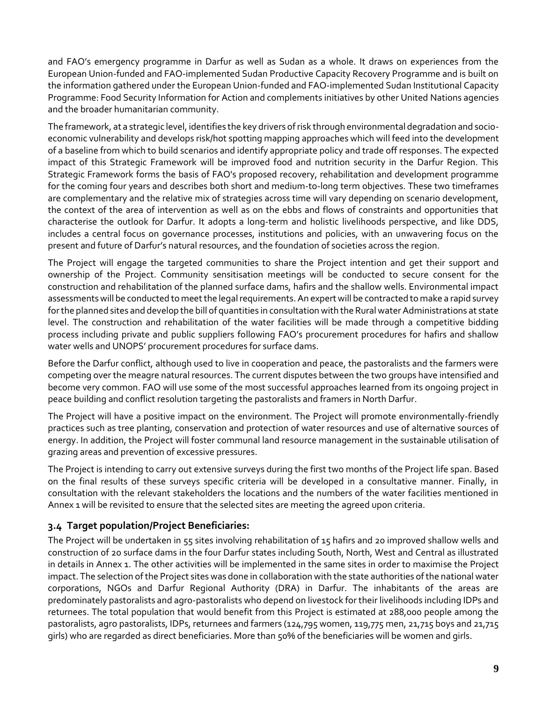and FAO's emergency programme in Darfur as well as Sudan as a whole. It draws on experiences from the European Union-funded and FAO-implemented Sudan Productive Capacity Recovery Programme and is built on the information gathered under the European Union-funded and FAO-implemented Sudan Institutional Capacity Programme: Food Security Information for Action and complements initiatives by other United Nations agencies and the broader humanitarian community.

The framework, at a strategic level, identifies the key drivers of risk through environmental degradation and socioeconomic vulnerability and develops risk/hot spotting mapping approaches which will feed into the development of a baseline from which to build scenarios and identify appropriate policy and trade off responses. The expected impact of this Strategic Framework will be improved food and nutrition security in the Darfur Region. This Strategic Framework forms the basis of FAO's proposed recovery, rehabilitation and development programme for the coming four years and describes both short and medium-to-long term objectives. These two timeframes are complementary and the relative mix of strategies across time will vary depending on scenario development, the context of the area of intervention as well as on the ebbs and flows of constraints and opportunities that characterise the outlook for Darfur. It adopts a long-term and holistic livelihoods perspective, and like DDS, includes a central focus on governance processes, institutions and policies, with an unwavering focus on the present and future of Darfur's natural resources, and the foundation of societies across the region.

The Project will engage the targeted communities to share the Project intention and get their support and ownership of the Project. Community sensitisation meetings will be conducted to secure consent for the construction and rehabilitation of the planned surface dams, hafirs and the shallow wells. Environmental impact assessments will be conducted to meet the legal requirements. An expert will be contracted to make a rapid survey for the planned sites and develop the bill of quantities in consultation with the Rural water Administrations at state level. The construction and rehabilitation of the water facilities will be made through a competitive bidding process including private and public suppliers following FAO's procurement procedures for hafirs and shallow water wells and UNOPS' procurement procedures for surface dams.

Before the Darfur conflict, although used to live in cooperation and peace, the pastoralists and the farmers were competing over the meagre natural resources. The current disputes between the two groups have intensified and become very common. FAO will use some of the most successful approaches learned from its ongoing project in peace building and conflict resolution targeting the pastoralists and framers in North Darfur.

The Project will have a positive impact on the environment. The Project will promote environmentally-friendly practices such as tree planting, conservation and protection of water resources and use of alternative sources of energy. In addition, the Project will foster communal land resource management in the sustainable utilisation of grazing areas and prevention of excessive pressures.

The Project is intending to carry out extensive surveys during the first two months of the Project life span. Based on the final results of these surveys specific criteria will be developed in a consultative manner. Finally, in consultation with the relevant stakeholders the locations and the numbers of the water facilities mentioned in Annex 1 will be revisited to ensure that the selected sites are meeting the agreed upon criteria.

#### <span id="page-11-0"></span>**3.4 Target population/Project Beneficiaries:**

The Project will be undertaken in 55 sites involving rehabilitation of 15 hafirs and 20 improved shallow wells and construction of 20 surface dams in the four Darfur states including South, North, West and Central as illustrated in details in Annex 1. The other activities will be implemented in the same sites in order to maximise the Project impact. The selection of the Project sites was done in collaboration with the state authorities of the national water corporations, NGOs and Darfur Regional Authority (DRA) in Darfur. The inhabitants of the areas are predominately pastoralists and agro-pastoralists who depend on livestock for their livelihoods including IDPs and returnees. The total population that would benefit from this Project is estimated at 288,000 people among the pastoralists, agro pastoralists, IDPs, returnees and farmers (124,795 women, 119,775 men, 21,715 boys and 21,715 girls) who are regarded as direct beneficiaries. More than 50% of the beneficiaries will be women and girls.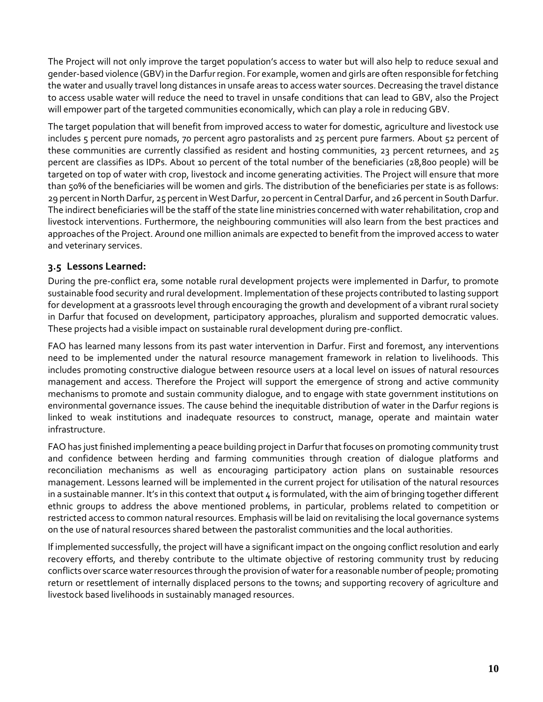The Project will not only improve the target population's access to water but will also help to reduce sexual and gender-based violence (GBV) in the Darfur region. For example, women and girls are often responsible for fetching the water and usually travel long distances in unsafe areas to access water sources. Decreasing the travel distance to access usable water will reduce the need to travel in unsafe conditions that can lead to GBV, also the Project will empower part of the targeted communities economically, which can play a role in reducing GBV.

The target population that will benefit from improved access to water for domestic, agriculture and livestock use includes 5 percent pure nomads, 70 percent agro pastoralists and 25 percent pure farmers. About 52 percent of these communities are currently classified as resident and hosting communities, 23 percent returnees, and 25 percent are classifies as IDPs. About 10 percent of the total number of the beneficiaries (28,800 people) will be targeted on top of water with crop, livestock and income generating activities. The Project will ensure that more than 50% of the beneficiaries will be women and girls. The distribution of the beneficiaries per state is as follows: 29 percentin North Darfur, 25 percent in West Darfur, 20 percent in Central Darfur, and 26 percent in South Darfur. The indirect beneficiaries will be the staff of the state line ministries concerned with water rehabilitation, crop and livestock interventions. Furthermore, the neighbouring communities will also learn from the best practices and approaches of the Project. Around one million animals are expected to benefit from the improved access to water and veterinary services.

#### <span id="page-12-0"></span>**3.5 Lessons Learned:**

During the pre-conflict era, some notable rural development projects were implemented in Darfur, to promote sustainable food security and rural development. Implementation of these projects contributed to lasting support for development at a grassroots level through encouraging the growth and development of a vibrant rural society in Darfur that focused on development, participatory approaches, pluralism and supported democratic values. These projects had a visible impact on sustainable rural development during pre-conflict.

FAO has learned many lessons from its past water intervention in Darfur. First and foremost, any interventions need to be implemented under the natural resource management framework in relation to livelihoods. This includes promoting constructive dialogue between resource users at a local level on issues of natural resources management and access. Therefore the Project will support the emergence of strong and active community mechanisms to promote and sustain community dialogue, and to engage with state government institutions on environmental governance issues. The cause behind the inequitable distribution of water in the Darfur regions is linked to weak institutions and inadequate resources to construct, manage, operate and maintain water infrastructure.

FAO has just finished implementing a peace building project in Darfur that focuses on promoting community trust and confidence between herding and farming communities through creation of dialogue platforms and reconciliation mechanisms as well as encouraging participatory action plans on sustainable resources management. Lessons learned will be implemented in the current project for utilisation of the natural resources in a sustainable manner. It's in this context that output  $4$  is formulated, with the aim of bringing together different ethnic groups to address the above mentioned problems, in particular, problems related to competition or restricted access to common natural resources. Emphasis will be laid on revitalising the local governance systems on the use of natural resources shared between the pastoralist communities and the local authorities.

If implemented successfully, the project will have a significant impact on the ongoing conflict resolution and early recovery efforts, and thereby contribute to the ultimate objective of restoring community trust by reducing conflicts over scarce water resources through the provision of water for a reasonable number of people; promoting return or resettlement of internally displaced persons to the towns; and supporting recovery of agriculture and livestock based livelihoods in sustainably managed resources.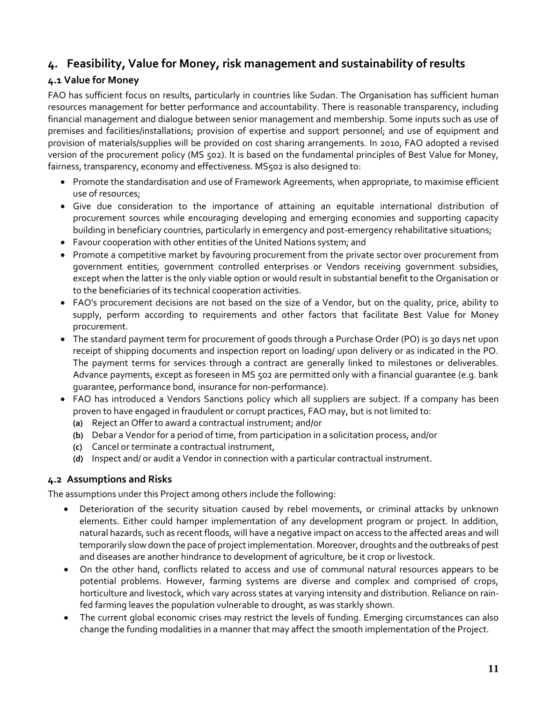### <span id="page-13-0"></span>**4. Feasibility, Value for Money, risk management and sustainability of results**

#### <span id="page-13-1"></span>**4.1 Value for Money**

FAO has sufficient focus on results, particularly in countries like Sudan. The Organisation has sufficient human resources management for better performance and accountability. There is reasonable transparency, including financial management and dialogue between senior management and membership. Some inputs such as use of premises and facilities/installations; provision of expertise and support personnel; and use of equipment and provision of materials/supplies will be provided on cost sharing arrangements. In 2010, FAO adopted a revised version of the procurement policy (MS 502). It is based on the fundamental principles of Best Value for Money, fairness, transparency, economy and effectiveness. MS502 is also designed to:

- Promote the standardisation and use of Framework Agreements, when appropriate, to maximise efficient use of resources;
- Give due consideration to the importance of attaining an equitable international distribution of procurement sources while encouraging developing and emerging economies and supporting capacity building in beneficiary countries, particularly in emergency and post-emergency rehabilitative situations;
- Favour cooperation with other entities of the United Nations system; and
- Promote a competitive market by favouring procurement from the private sector over procurement from government entities, government controlled enterprises or Vendors receiving government subsidies, except when the latter is the only viable option or would result in substantial benefit to the Organisation or to the beneficiaries of its technical cooperation activities.
- FAO's procurement decisions are not based on the size of a Vendor, but on the quality, price, ability to supply, perform according to requirements and other factors that facilitate Best Value for Money procurement.
- The standard payment term for procurement of goods through a Purchase Order (PO) is 30 days net upon receipt of shipping documents and inspection report on loading/ upon delivery or as indicated in the PO. The payment terms for services through a contract are generally linked to milestones or deliverables. Advance payments, except as foreseen in MS 502 are permitted only with a financial guarantee (e.g. bank guarantee, performance bond, insurance for non-performance).
- FAO has introduced a Vendors Sanctions policy which all suppliers are subject. If a company has been proven to have engaged in fraudulent or corrupt practices, FAO may, but is not limited to:
	- **(a)** Reject an Offer to award a contractual instrument; and/or
	- **(b)** Debar a Vendor for a period of time, from participation in a solicitation process, and/or
	- **(c)** Cancel or terminate a contractual instrument,
	- **(d)** Inspect and/ or audit a Vendor in connection with a particular contractual instrument.

#### <span id="page-13-2"></span>**4.2 Assumptions and Risks**

The assumptions under this Project among others include the following:

- Deterioration of the security situation caused by rebel movements, or criminal attacks by unknown elements. Either could hamper implementation of any development program or project. In addition, natural hazards, such as recent floods, will have a negative impact on access to the affected areas and will temporarily slow down the pace of project implementation. Moreover, droughts and the outbreaks of pest and diseases are another hindrance to development of agriculture, be it crop or livestock.
- On the other hand, conflicts related to access and use of communal natural resources appears to be potential problems. However, farming systems are diverse and complex and comprised of crops, horticulture and livestock, which vary across states at varying intensity and distribution. Reliance on rainfed farming leaves the population vulnerable to drought, as was starkly shown.
- The current global economic crises may restrict the levels of funding. Emerging circumstances can also change the funding modalities in a manner that may affect the smooth implementation of the Project.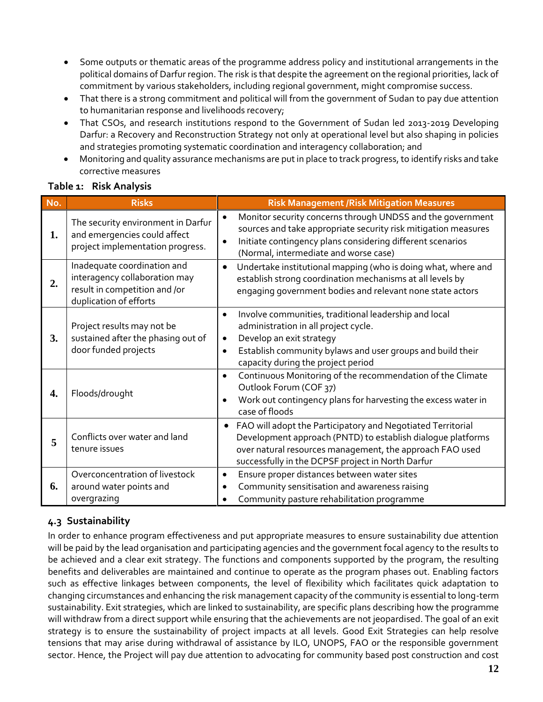- Some outputs or thematic areas of the programme address policy and institutional arrangements in the political domains of Darfur region. The risk is that despite the agreement on the regional priorities, lack of commitment by various stakeholders, including regional government, might compromise success.
- That there is a strong commitment and political will from the government of Sudan to pay due attention to humanitarian response and livelihoods recovery;
- That CSOs, and research institutions respond to the Government of Sudan led 2013-2019 Developing Darfur: a Recovery and Reconstruction Strategy not only at operational level but also shaping in policies and strategies promoting systematic coordination and interagency collaboration; and
- Monitoring and quality assurance mechanisms are put in place to track progress, to identify risks and take corrective measures

<span id="page-14-0"></span>

| Table 1: Risk Analysis |  |
|------------------------|--|
|                        |  |

| No. | <b>Risks</b>                                                                                                            | <b>Risk Management /Risk Mitigation Measures</b>                                                                                                                                                                                                                     |
|-----|-------------------------------------------------------------------------------------------------------------------------|----------------------------------------------------------------------------------------------------------------------------------------------------------------------------------------------------------------------------------------------------------------------|
| 1.  | The security environment in Darfur<br>and emergencies could affect<br>project implementation progress.                  | Monitor security concerns through UNDSS and the government<br>$\bullet$<br>sources and take appropriate security risk mitigation measures<br>Initiate contingency plans considering different scenarios<br>$\bullet$<br>(Normal, intermediate and worse case)        |
| 2.  | Inadequate coordination and<br>interagency collaboration may<br>result in competition and /or<br>duplication of efforts | Undertake institutional mapping (who is doing what, where and<br>$\bullet$<br>establish strong coordination mechanisms at all levels by<br>engaging government bodies and relevant none state actors                                                                 |
| 3.  | Project results may not be<br>sustained after the phasing out of<br>door funded projects                                | Involve communities, traditional leadership and local<br>$\bullet$<br>administration in all project cycle.<br>Develop an exit strategy<br>$\bullet$<br>Establish community bylaws and user groups and build their<br>$\bullet$<br>capacity during the project period |
| 4.  | Floods/drought                                                                                                          | Continuous Monitoring of the recommendation of the Climate<br>$\bullet$<br>Outlook Forum (COF 37)<br>Work out contingency plans for harvesting the excess water in<br>$\bullet$<br>case of floods                                                                    |
| 5   | Conflicts over water and land<br>tenure issues                                                                          | FAO will adopt the Participatory and Negotiated Territorial<br>Development approach (PNTD) to establish dialogue platforms<br>over natural resources management, the approach FAO used<br>successfully in the DCPSF project in North Darfur                          |
| 6.  | Overconcentration of livestock<br>around water points and<br>overgrazing                                                | Ensure proper distances between water sites<br>$\bullet$<br>Community sensitisation and awareness raising<br>$\bullet$<br>Community pasture rehabilitation programme                                                                                                 |

### <span id="page-14-1"></span>**4.3 Sustainability**

In order to enhance program effectiveness and put appropriate measures to ensure sustainability due attention will be paid by the lead organisation and participating agencies and the government focal agency to the results to be achieved and a clear exit strategy. The functions and components supported by the program, the resulting benefits and deliverables are maintained and continue to operate as the program phases out. Enabling factors such as effective linkages between components, the level of flexibility which facilitates quick adaptation to changing circumstances and enhancing the risk management capacity of the community is essential to long-term sustainability. Exit strategies, which are linked to sustainability, are specific plans describing how the programme will withdraw from a direct support while ensuring that the achievements are not jeopardised. The goal of an exit strategy is to ensure the sustainability of project impacts at all levels. Good Exit Strategies can help resolve tensions that may arise during withdrawal of assistance by ILO, UNOPS, FAO or the responsible government sector. Hence, the Project will pay due attention to advocating for community based post construction and cost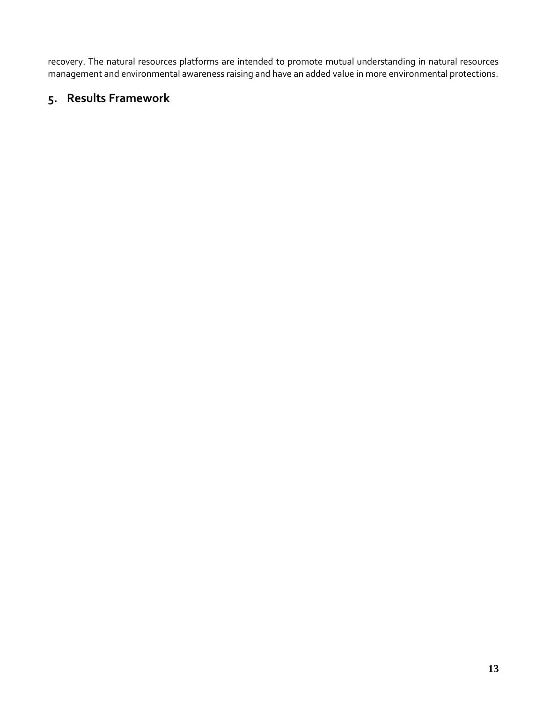recovery. The natural resources platforms are intended to promote mutual understanding in natural resources management and environmental awareness raising and have an added value in more environmental protections.

### <span id="page-15-0"></span>**5. Results Framework**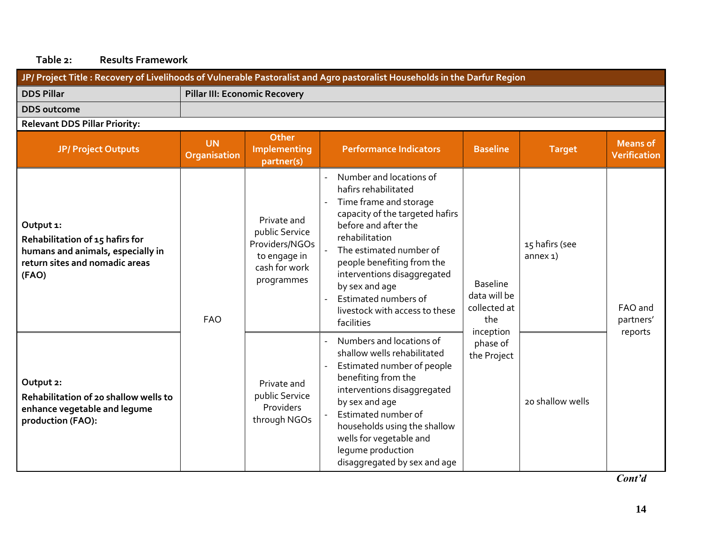### **Table 2: Results Framework**

<span id="page-16-0"></span>

| JP/ Project Title: Recovery of Livelihoods of Vulnerable Pastoralist and Agro pastoralist Households in the Darfur Region    |                                  |                                                                                                |                                                                                                                                                                                                                                                                                                                                          |                                                                     |                              |                                        |  |  |
|------------------------------------------------------------------------------------------------------------------------------|----------------------------------|------------------------------------------------------------------------------------------------|------------------------------------------------------------------------------------------------------------------------------------------------------------------------------------------------------------------------------------------------------------------------------------------------------------------------------------------|---------------------------------------------------------------------|------------------------------|----------------------------------------|--|--|
| <b>DDS Pillar</b>                                                                                                            |                                  | <b>Pillar III: Economic Recovery</b>                                                           |                                                                                                                                                                                                                                                                                                                                          |                                                                     |                              |                                        |  |  |
| <b>DDS</b> outcome                                                                                                           |                                  |                                                                                                |                                                                                                                                                                                                                                                                                                                                          |                                                                     |                              |                                        |  |  |
| <b>Relevant DDS Pillar Priority:</b>                                                                                         |                                  |                                                                                                |                                                                                                                                                                                                                                                                                                                                          |                                                                     |                              |                                        |  |  |
| <b>JP/ Project Outputs</b>                                                                                                   | <b>UN</b><br><b>Organisation</b> | <b>Other</b><br>Implementing<br>partner(s)                                                     | <b>Performance Indicators</b>                                                                                                                                                                                                                                                                                                            | <b>Baseline</b>                                                     | <b>Target</b>                | <b>Means</b> of<br><b>Verification</b> |  |  |
| Output 1:<br>Rehabilitation of 15 hafirs for<br>humans and animals, especially in<br>return sites and nomadic areas<br>(FAO) | <b>FAO</b>                       | Private and<br>public Service<br>Providers/NGOs<br>to engage in<br>cash for work<br>programmes | Number and locations of<br>hafirs rehabilitated<br>Time frame and storage<br>capacity of the targeted hafirs<br>before and after the<br>rehabilitation<br>The estimated number of<br>people benefiting from the<br>interventions disaggregated<br>by sex and age<br>Estimated numbers of<br>livestock with access to these<br>facilities | <b>Baseline</b><br>data will be<br>collected at<br>the<br>inception | 15 hafirs (see<br>$annex1$ ) | FAO and<br>partners'<br>reports        |  |  |
| Output 2:<br>Rehabilitation of 20 shallow wells to<br>enhance vegetable and legume<br>production (FAO):                      |                                  |                                                                                                | Numbers and locations of<br>shallow wells rehabilitated<br>Estimated number of people<br>benefiting from the<br>interventions disaggregated<br>by sex and age<br>Estimated number of<br>households using the shallow<br>wells for vegetable and<br>lequme production<br>disaggregated by sex and age                                     | phase of<br>the Project                                             | 20 shallow wells             |                                        |  |  |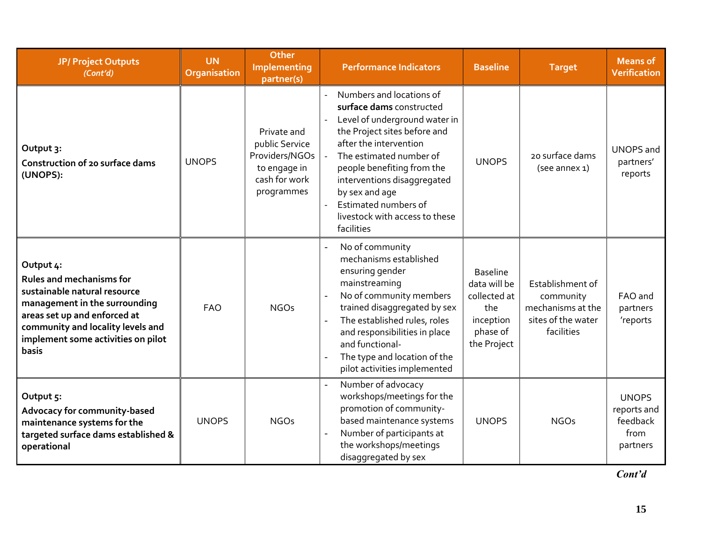| <b>JP/ Project Outputs</b><br>(Cont'd)                                                                                                                                                                                            | <b>UN</b><br>Organisation | <b>Other</b><br>Implementing<br>partner(s)                                                     | <b>Performance Indicators</b>                                                                                                                                                                                                                                                                                                     | <b>Baseline</b>                                                                                | <b>Target</b>                                                                          | <b>Means of</b><br><b>Verification</b>                      |
|-----------------------------------------------------------------------------------------------------------------------------------------------------------------------------------------------------------------------------------|---------------------------|------------------------------------------------------------------------------------------------|-----------------------------------------------------------------------------------------------------------------------------------------------------------------------------------------------------------------------------------------------------------------------------------------------------------------------------------|------------------------------------------------------------------------------------------------|----------------------------------------------------------------------------------------|-------------------------------------------------------------|
| Output 3:<br><b>Construction of 20 surface dams</b><br>(UNOPS):                                                                                                                                                                   | <b>UNOPS</b>              | Private and<br>public Service<br>Providers/NGOs<br>to engage in<br>cash for work<br>programmes | Numbers and locations of<br>surface dams constructed<br>Level of underground water in<br>the Project sites before and<br>after the intervention<br>The estimated number of<br>people benefiting from the<br>interventions disaggregated<br>by sex and age<br>Estimated numbers of<br>livestock with access to these<br>facilities | <b>UNOPS</b>                                                                                   | 20 surface dams<br>(see annex 1)                                                       | <b>UNOPS</b> and<br>partners'<br>reports                    |
| Output 4:<br><b>Rules and mechanisms for</b><br>sustainable natural resource<br>management in the surrounding<br>areas set up and enforced at<br>community and locality levels and<br>implement some activities on pilot<br>basis | <b>FAO</b>                | <b>NGOs</b>                                                                                    | No of community<br>mechanisms established<br>ensuring gender<br>mainstreaming<br>No of community members<br>$\overline{a}$<br>trained disaggregated by sex<br>The established rules, roles<br>and responsibilities in place<br>and functional-<br>The type and location of the<br>$\overline{a}$<br>pilot activities implemented  | <b>Baseline</b><br>data will be<br>collected at<br>the<br>inception<br>phase of<br>the Project | Establishment of<br>community<br>mechanisms at the<br>sites of the water<br>facilities | FAO and<br>partners<br>'reports                             |
| Output 5:<br>Advocacy for community-based<br>maintenance systems for the<br>targeted surface dams established &<br>operational                                                                                                    | <b>UNOPS</b>              | <b>NGOs</b>                                                                                    | Number of advocacy<br>workshops/meetings for the<br>promotion of community-<br>based maintenance systems<br>Number of participants at<br>the workshops/meetings<br>disaggregated by sex                                                                                                                                           | <b>UNOPS</b>                                                                                   | <b>NGOs</b>                                                                            | <b>UNOPS</b><br>reports and<br>feedback<br>from<br>partners |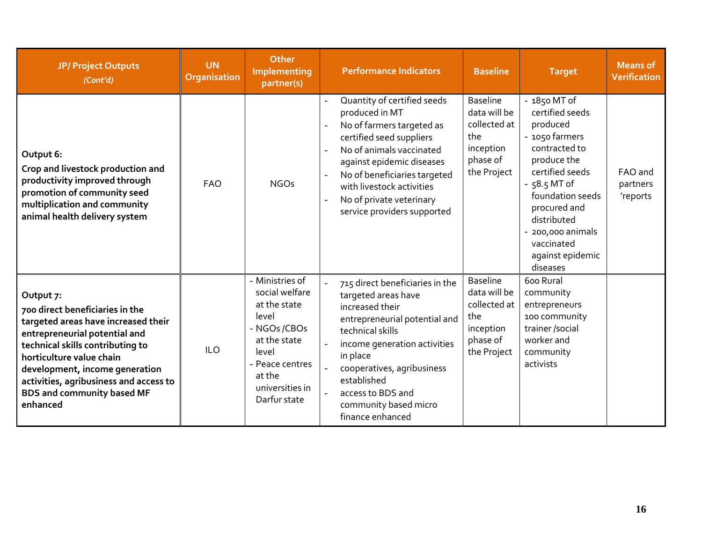| <b>JP/ Project Outputs</b><br>(Cont'd)                                                                                                                                                                                                                                                                            | <b>UN</b><br>Organisation | Other<br>Implementing<br>partner(s)                                                                                                                                 | <b>Performance Indicators</b>                                                                                                                                                                                                                                                                             | <b>Baseline</b>                                                                                | <b>Target</b>                                                                                                                                                                                                                                           | <b>Means of</b><br><b>Verification</b> |
|-------------------------------------------------------------------------------------------------------------------------------------------------------------------------------------------------------------------------------------------------------------------------------------------------------------------|---------------------------|---------------------------------------------------------------------------------------------------------------------------------------------------------------------|-----------------------------------------------------------------------------------------------------------------------------------------------------------------------------------------------------------------------------------------------------------------------------------------------------------|------------------------------------------------------------------------------------------------|---------------------------------------------------------------------------------------------------------------------------------------------------------------------------------------------------------------------------------------------------------|----------------------------------------|
| Output 6:<br>Crop and livestock production and<br>productivity improved through<br>promotion of community seed<br>multiplication and community<br>animal health delivery system                                                                                                                                   | <b>FAO</b>                | <b>NGOs</b>                                                                                                                                                         | Quantity of certified seeds<br>produced in MT<br>No of farmers targeted as<br>certified seed suppliers<br>No of animals vaccinated<br>$\overline{a}$<br>against epidemic diseases<br>No of beneficiaries targeted<br>with livestock activities<br>No of private veterinary<br>service providers supported | <b>Baseline</b><br>data will be<br>collected at<br>the<br>inception<br>phase of<br>the Project | - 1850 MT of<br>certified seeds<br>produced<br>- 1050 farmers<br>contracted to<br>produce the<br>certified seeds<br>$-58.5$ MT of<br>foundation seeds<br>procured and<br>distributed<br>- 200,000 animals<br>vaccinated<br>against epidemic<br>diseases | FAO and<br>partners<br>'reports        |
| Output 7:<br>700 direct beneficiaries in the<br>targeted areas have increased their<br>entrepreneurial potential and<br>technical skills contributing to<br>horticulture value chain<br>development, income generation<br>activities, agribusiness and access to<br><b>BDS and community based MF</b><br>enhanced | <b>ILO</b>                | - Ministries of<br>social welfare<br>at the state<br>level<br>- NGOs /CBOs<br>at the state<br>level<br>- Peace centres<br>at the<br>universities in<br>Darfur state | 715 direct beneficiaries in the<br>targeted areas have<br>increased their<br>entrepreneurial potential and<br>technical skills<br>income generation activities<br>in place<br>cooperatives, agribusiness<br>established<br>access to BDS and<br>community based micro<br>finance enhanced                 | <b>Baseline</b><br>data will be<br>collected at<br>the<br>inception<br>phase of<br>the Project | 600 Rural<br>community<br>entrepreneurs<br>100 community<br>trainer /social<br>worker and<br>community<br>activists                                                                                                                                     |                                        |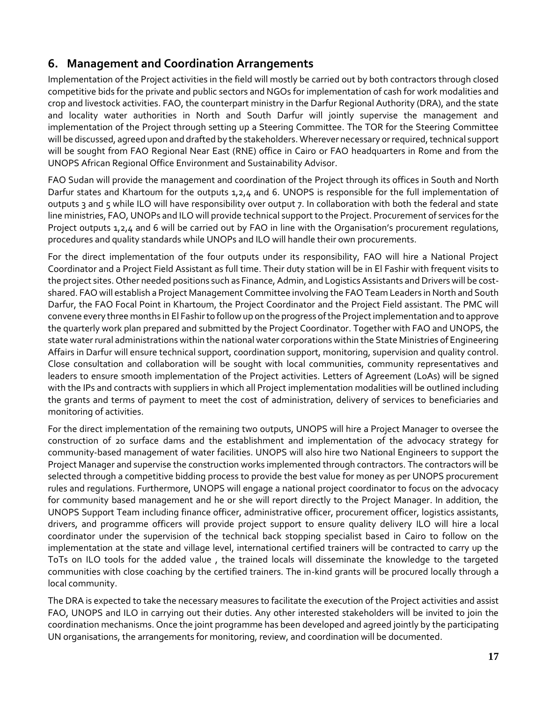### <span id="page-19-0"></span>**6. Management and Coordination Arrangements**

Implementation of the Project activities in the field will mostly be carried out by both contractors through closed competitive bids for the private and public sectors and NGOs for implementation of cash for work modalities and crop and livestock activities. FAO, the counterpart ministry in the Darfur Regional Authority (DRA), and the state and locality water authorities in North and South Darfur will jointly supervise the management and implementation of the Project through setting up a Steering Committee. The TOR for the Steering Committee will be discussed, agreed upon and drafted by the stakeholders. Wherever necessary or required, technical support will be sought from FAO Regional Near East (RNE) office in Cairo or FAO headquarters in Rome and from the UNOPS African Regional Office Environment and Sustainability Advisor.

FAO Sudan will provide the management and coordination of the Project through its offices in South and North Darfur states and Khartoum for the outputs 1,2,4 and 6. UNOPS is responsible for the full implementation of outputs 3 and 5 while ILO will have responsibility over output 7. In collaboration with both the federal and state line ministries, FAO, UNOPs and ILO will provide technical support to the Project. Procurement of services for the Project outputs 1,2,4 and 6 will be carried out by FAO in line with the Organisation's procurement regulations, procedures and quality standards while UNOPs and ILO will handle their own procurements.

For the direct implementation of the four outputs under its responsibility, FAO will hire a National Project Coordinator and a Project Field Assistant as full time. Their duty station will be in El Fashir with frequent visits to the project sites. Other needed positions such as Finance, Admin, and Logistics Assistants and Drivers will be costshared. FAO will establish a Project Management Committee involving the FAO Team Leaders in North and South Darfur, the FAO Focal Point in Khartoum, the Project Coordinator and the Project Field assistant. The PMC will convene every three months in El Fashir to follow up on the progress of the Projectimplementation and to approve the quarterly work plan prepared and submitted by the Project Coordinator. Together with FAO and UNOPS, the state water rural administrations within the national water corporations within the State Ministries of Engineering Affairs in Darfur will ensure technical support, coordination support, monitoring, supervision and quality control. Close consultation and collaboration will be sought with local communities, community representatives and leaders to ensure smooth implementation of the Project activities. Letters of Agreement (LoAs) will be signed with the IPs and contracts with suppliers in which all Project implementation modalities will be outlined including the grants and terms of payment to meet the cost of administration, delivery of services to beneficiaries and monitoring of activities.

For the direct implementation of the remaining two outputs, UNOPS will hire a Project Manager to oversee the construction of 20 surface dams and the establishment and implementation of the advocacy strategy for community-based management of water facilities. UNOPS will also hire two National Engineers to support the Project Manager and supervise the construction works implemented through contractors. The contractors will be selected through a competitive bidding process to provide the best value for money as per UNOPS procurement rules and regulations. Furthermore, UNOPS will engage a national project coordinator to focus on the advocacy for community based management and he or she will report directly to the Project Manager. In addition, the UNOPS Support Team including finance officer, administrative officer, procurement officer, logistics assistants, drivers, and programme officers will provide project support to ensure quality delivery ILO will hire a local coordinator under the supervision of the technical back stopping specialist based in Cairo to follow on the implementation at the state and village level, international certified trainers will be contracted to carry up the ToTs on ILO tools for the added value , the trained locals will disseminate the knowledge to the targeted communities with close coaching by the certified trainers. The in-kind grants will be procured locally through a local community.

The DRA is expected to take the necessary measures to facilitate the execution of the Project activities and assist FAO, UNOPS and ILO in carrying out their duties. Any other interested stakeholders will be invited to join the coordination mechanisms. Once the joint programme has been developed and agreed jointly by the participating UN organisations, the arrangements for monitoring, review, and coordination will be documented.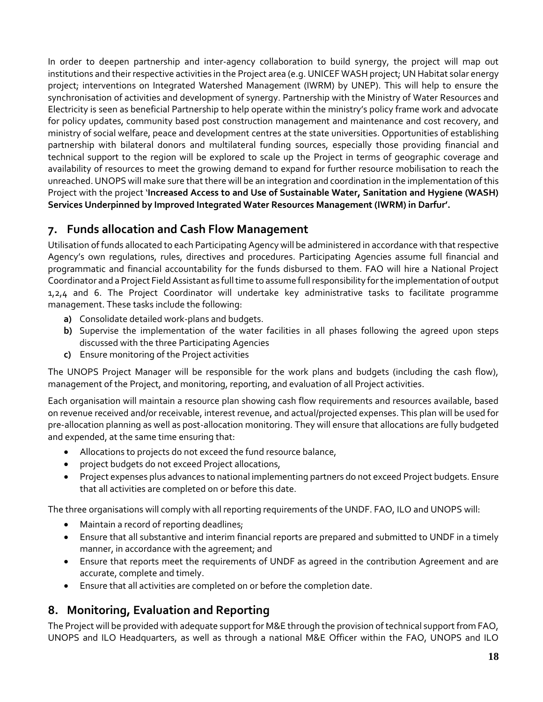In order to deepen partnership and inter-agency collaboration to build synergy, the project will map out institutions and their respective activities in the Project area (e.g. UNICEF WASH project; UN Habitat solar energy project; interventions on Integrated Watershed Management (IWRM) by UNEP). This will help to ensure the synchronisation of activities and development of synergy. Partnership with the Ministry of Water Resources and Electricity is seen as beneficial Partnership to help operate within the ministry's policy frame work and advocate for policy updates, community based post construction management and maintenance and cost recovery, and ministry of social welfare, peace and development centres at the state universities. Opportunities of establishing partnership with bilateral donors and multilateral funding sources, especially those providing financial and technical support to the region will be explored to scale up the Project in terms of geographic coverage and availability of resources to meet the growing demand to expand for further resource mobilisation to reach the unreached. UNOPS will make sure that there will be an integration and coordination in the implementation of this Project with the project '**Increased Access to and Use of Sustainable Water, Sanitation and Hygiene (WASH) Services Underpinned by Improved Integrated Water Resources Management (IWRM) in Darfur'.**

### <span id="page-20-0"></span>**7. Funds allocation and Cash Flow Management**

Utilisation of funds allocated to each Participating Agency will be administered in accordance with that respective Agency's own regulations, rules, directives and procedures. Participating Agencies assume full financial and programmatic and financial accountability for the funds disbursed to them. FAO will hire a National Project Coordinator and a Project Field Assistant as full time to assume full responsibility for the implementation of output 1,2,4 and 6. The Project Coordinator will undertake key administrative tasks to facilitate programme management. These tasks include the following:

- **a)** Consolidate detailed work-plans and budgets.
- **b)** Supervise the implementation of the water facilities in all phases following the agreed upon steps discussed with the three Participating Agencies
- **c)** Ensure monitoring of the Project activities

The UNOPS Project Manager will be responsible for the work plans and budgets (including the cash flow), management of the Project, and monitoring, reporting, and evaluation of all Project activities.

Each organisation will maintain a resource plan showing cash flow requirements and resources available, based on revenue received and/or receivable, interest revenue, and actual/projected expenses. This plan will be used for pre-allocation planning as well as post-allocation monitoring. They will ensure that allocations are fully budgeted and expended, at the same time ensuring that:

- Allocations to projects do not exceed the fund resource balance,
- project budgets do not exceed Project allocations,
- Project expenses plus advances to national implementing partners do not exceed Project budgets. Ensure that all activities are completed on or before this date.

The three organisations will comply with all reporting requirements of the UNDF. FAO, ILO and UNOPS will:

- Maintain a record of reporting deadlines;
- Ensure that all substantive and interim financial reports are prepared and submitted to UNDF in a timely manner, in accordance with the agreement; and
- Ensure that reports meet the requirements of UNDF as agreed in the contribution Agreement and are accurate, complete and timely.
- Ensure that all activities are completed on or before the completion date.

### <span id="page-20-1"></span>**8. Monitoring, Evaluation and Reporting**

The Project will be provided with adequate support for M&E through the provision of technical support from FAO, UNOPS and ILO Headquarters, as well as through a national M&E Officer within the FAO, UNOPS and ILO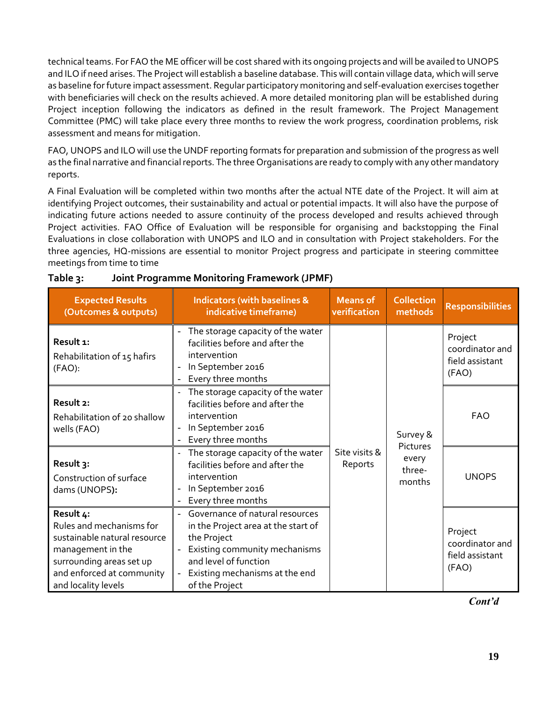technical teams. For FAO the ME officer will be cost shared with its ongoing projects and will be availed to UNOPS and ILO if need arises. The Project will establish a baseline database. This will contain village data, which will serve as baseline for future impact assessment. Regular participatory monitoring and self-evaluation exercises together with beneficiaries will check on the results achieved. A more detailed monitoring plan will be established during Project inception following the indicators as defined in the result framework. The Project Management Committee (PMC) will take place every three months to review the work progress, coordination problems, risk assessment and means for mitigation.

FAO, UNOPS and ILO will use the UNDF reporting formats for preparation and submission of the progress as well as the final narrative and financial reports. The three Organisations are ready to comply with any other mandatory reports.

A Final Evaluation will be completed within two months after the actual NTE date of the Project. It will aim at identifying Project outcomes, their sustainability and actual or potential impacts. It will also have the purpose of indicating future actions needed to assure continuity of the process developed and results achieved through Project activities. FAO Office of Evaluation will be responsible for organising and backstopping the Final Evaluations in close collaboration with UNOPS and ILO and in consultation with Project stakeholders. For the three agencies, HQ-missions are essential to monitor Project progress and participate in steering committee meetings from time to time

| <b>Expected Results</b><br>(Outcomes & outputs)                                                                                                                            | <b>Indicators (with baselines &amp;</b><br>indicative timeframe)                                                                                                                                    | <b>Means of</b><br>verification | <b>Collection</b><br>methods | <b>Responsibilities</b>                                |
|----------------------------------------------------------------------------------------------------------------------------------------------------------------------------|-----------------------------------------------------------------------------------------------------------------------------------------------------------------------------------------------------|---------------------------------|------------------------------|--------------------------------------------------------|
| Result 1:<br>Rehabilitation of 15 hafirs<br>$(FAO)$ :                                                                                                                      | The storage capacity of the water<br>facilities before and after the<br>intervention<br>In September 2016<br>Every three months                                                                     |                                 |                              | Project<br>coordinator and<br>field assistant<br>(FAO) |
| Result 2:<br>Rehabilitation of 20 shallow<br>wells (FAO)                                                                                                                   | The storage capacity of the water<br>facilities before and after the<br>intervention<br>In September 2016<br>Every three months                                                                     |                                 | Survey &<br>Pictures         | <b>FAO</b>                                             |
| Result 3:<br>Construction of surface<br>dams (UNOPS):                                                                                                                      | The storage capacity of the water<br>facilities before and after the<br>intervention<br>In September 2016<br>Every three months                                                                     | Site visits &<br>Reports        | every<br>three-<br>months    | <b>UNOPS</b>                                           |
| Result 4:<br>Rules and mechanisms for<br>sustainable natural resource<br>management in the<br>surrounding areas set up<br>and enforced at community<br>and locality levels | Governance of natural resources<br>in the Project area at the start of<br>the Project<br>Existing community mechanisms<br>and level of function<br>Existing mechanisms at the end<br>of the Project |                                 |                              | Project<br>coordinator and<br>field assistant<br>(FAO) |

<span id="page-21-0"></span>

| Table 3: | Joint Programme Monitoring Framework (JPMF) |  |  |
|----------|---------------------------------------------|--|--|
|          |                                             |  |  |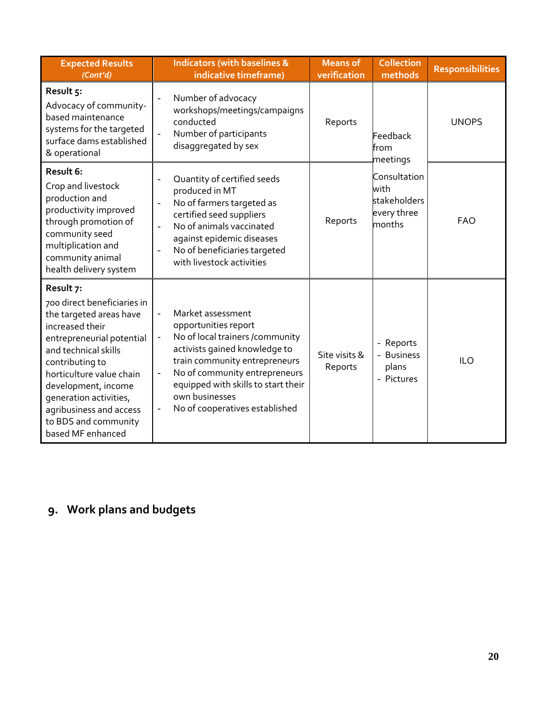| <b>Expected Results</b><br>(Cont'd)                                                                                                                                                                                                                                                                                 | <b>Indicators (with baselines &amp;</b><br>indicative timeframe)                                                                                                                                                                                                                                                                                            | <b>Means of</b><br>verification | <b>Collection</b><br>methods                                  | <b>Responsibilities</b> |
|---------------------------------------------------------------------------------------------------------------------------------------------------------------------------------------------------------------------------------------------------------------------------------------------------------------------|-------------------------------------------------------------------------------------------------------------------------------------------------------------------------------------------------------------------------------------------------------------------------------------------------------------------------------------------------------------|---------------------------------|---------------------------------------------------------------|-------------------------|
| Result 5:<br>Advocacy of community-<br>based maintenance<br>systems for the targeted<br>surface dams established<br>& operational                                                                                                                                                                                   | Number of advocacy<br>$\overline{\phantom{0}}$<br>workshops/meetings/campaigns<br>conducted<br>Number of participants<br>disaggregated by sex                                                                                                                                                                                                               | Reports                         | Feedback<br>from<br>meetings                                  | <b>UNOPS</b>            |
| Result 6:<br>Crop and livestock<br>production and<br>productivity improved<br>through promotion of<br>community seed<br>multiplication and<br>community animal<br>health delivery system                                                                                                                            | Quantity of certified seeds<br>produced in MT<br>No of farmers targeted as<br>$\qquad \qquad \blacksquare$<br>certified seed suppliers<br>No of animals vaccinated<br>$\overline{a}$<br>against epidemic diseases<br>No of beneficiaries targeted<br>with livestock activities                                                                              | Reports                         | Consultation<br>with<br>stakeholders<br>every three<br>months | <b>FAO</b>              |
| Result 7:<br>700 direct beneficiaries in<br>the targeted areas have<br>increased their<br>entrepreneurial potential<br>and technical skills<br>contributing to<br>horticulture value chain<br>development, income<br>generation activities,<br>agribusiness and access<br>to BDS and community<br>based MF enhanced | Market assessment<br>opportunities report<br>No of local trainers /community<br>$\overline{\phantom{a}}$<br>activists gained knowledge to<br>train community entrepreneurs<br>No of community entrepreneurs<br>$\qquad \qquad \blacksquare$<br>equipped with skills to start their<br>own businesses<br>No of cooperatives established<br>$\qquad \qquad -$ | Site visits &<br>Reports        | - Reports<br>- Business<br>plans<br>- Pictures                | <b>ILO</b>              |

## <span id="page-22-0"></span>**9. Work plans and budgets**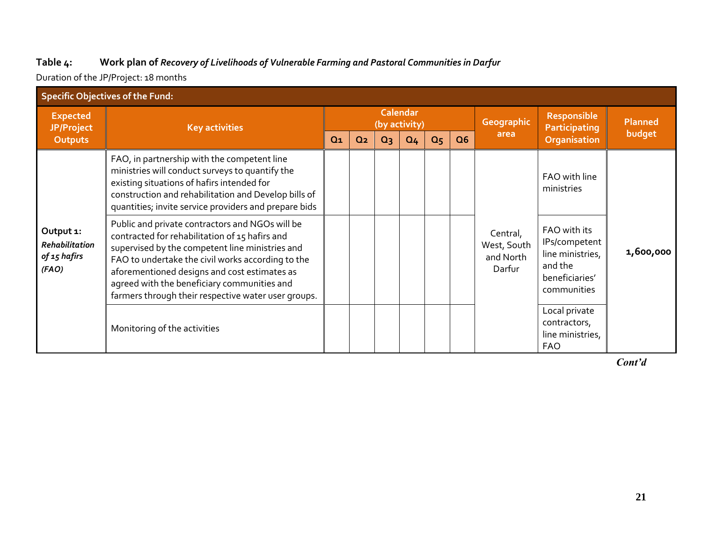#### **Table 4: Work plan of** *Recovery of Livelihoods of Vulnerable Farming and Pastoral Communities in Darfur*

Duration of the JP/Project: 18 months

<span id="page-23-0"></span>

| <b>Specific Objectives of the Fund:</b>                                              |                                                                                                                                                                                                                                                                                                                                                                 |                                  |                |       |                |                |    |                                                |                                                                                               |                |
|--------------------------------------------------------------------------------------|-----------------------------------------------------------------------------------------------------------------------------------------------------------------------------------------------------------------------------------------------------------------------------------------------------------------------------------------------------------------|----------------------------------|----------------|-------|----------------|----------------|----|------------------------------------------------|-----------------------------------------------------------------------------------------------|----------------|
| <b>Expected</b><br>JP/Project                                                        | <b>Key activities</b>                                                                                                                                                                                                                                                                                                                                           | <b>Calendar</b><br>(by activity) |                |       |                |                |    | <b>Geographic</b>                              | <b>Responsible</b><br>Participating                                                           | <b>Planned</b> |
| <b>Outputs</b>                                                                       |                                                                                                                                                                                                                                                                                                                                                                 | Q <sub>1</sub>                   | Q <sub>2</sub> | $Q_3$ | Q <sub>4</sub> | Q <sub>5</sub> | Q6 | area                                           | Organisation                                                                                  | budget         |
| Output 1:<br>Rehabilitation<br>of 15 hafirs<br>(FAO)<br>Monitoring of the activities | FAO, in partnership with the competent line<br>ministries will conduct surveys to quantify the<br>existing situations of hafirs intended for<br>construction and rehabilitation and Develop bills of<br>quantities; invite service providers and prepare bids                                                                                                   |                                  |                |       |                |                |    |                                                | FAO with line<br>ministries                                                                   |                |
|                                                                                      | Public and private contractors and NGOs will be<br>contracted for rehabilitation of 15 hafirs and<br>supervised by the competent line ministries and<br>FAO to undertake the civil works according to the<br>aforementioned designs and cost estimates as<br>agreed with the beneficiary communities and<br>farmers through their respective water user groups. |                                  |                |       |                |                |    | Central,<br>West, South<br>and North<br>Darfur | FAO with its<br>IPs/competent<br>line ministries,<br>and the<br>beneficiaries'<br>communities | 1,600,000      |
|                                                                                      |                                                                                                                                                                                                                                                                                                                                                                 |                                  |                |       |                |                |    |                                                | Local private<br>contractors,<br>line ministries,<br><b>FAO</b>                               |                |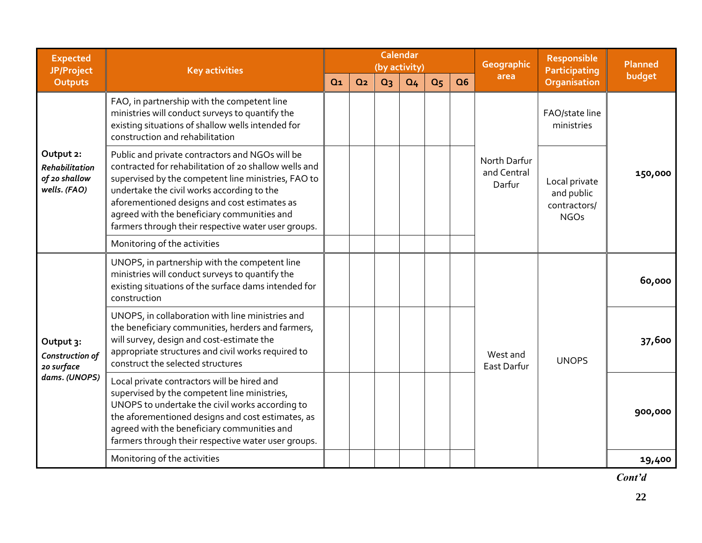| <b>Expected</b><br>JP/Project                                | <b>Key activities</b>                                                                                                                                                                                                                                                                                                                                               | <b>Calendar</b><br>(by activity) |                |       | Geographic     | <b>Responsible</b><br><b>Participating</b> | Planned |                                       |                                                                                                                  |         |  |
|--------------------------------------------------------------|---------------------------------------------------------------------------------------------------------------------------------------------------------------------------------------------------------------------------------------------------------------------------------------------------------------------------------------------------------------------|----------------------------------|----------------|-------|----------------|--------------------------------------------|---------|---------------------------------------|------------------------------------------------------------------------------------------------------------------|---------|--|
| Outputs                                                      |                                                                                                                                                                                                                                                                                                                                                                     | $Q_1$                            | Q <sub>2</sub> | $Q_3$ | Q <sub>4</sub> | Q <sub>5</sub>                             | Q6      |                                       | area<br>Organisation<br>ministries<br>Local private<br>and public<br>contractors/<br><b>NGOs</b><br><b>UNOPS</b> | budget  |  |
|                                                              | FAO, in partnership with the competent line<br>ministries will conduct surveys to quantify the<br>existing situations of shallow wells intended for<br>construction and rehabilitation                                                                                                                                                                              |                                  |                |       |                |                                            |         | FAO/state line                        |                                                                                                                  |         |  |
| Output 2:<br>Rehabilitation<br>of 20 shallow<br>wells. (FAO) | Public and private contractors and NGOs will be<br>contracted for rehabilitation of 20 shallow wells and<br>supervised by the competent line ministries, FAO to<br>undertake the civil works according to the<br>aforementioned designs and cost estimates as<br>agreed with the beneficiary communities and<br>farmers through their respective water user groups. |                                  |                |       |                |                                            |         | North Darfur<br>and Central<br>Darfur |                                                                                                                  | 150,000 |  |
|                                                              | Monitoring of the activities                                                                                                                                                                                                                                                                                                                                        |                                  |                |       |                |                                            |         |                                       |                                                                                                                  |         |  |
|                                                              | UNOPS, in partnership with the competent line<br>ministries will conduct surveys to quantify the<br>existing situations of the surface dams intended for<br>construction                                                                                                                                                                                            |                                  |                |       |                |                                            |         |                                       |                                                                                                                  | 60,000  |  |
| Output 3:<br>Construction of<br>20 surface                   | UNOPS, in collaboration with line ministries and<br>the beneficiary communities, herders and farmers,<br>will survey, design and cost-estimate the<br>appropriate structures and civil works required to<br>construct the selected structures                                                                                                                       |                                  |                |       |                |                                            |         | West and<br>East Darfur               |                                                                                                                  | 37,600  |  |
| dams. (UNOPS)                                                | Local private contractors will be hired and<br>supervised by the competent line ministries,<br>UNOPS to undertake the civil works according to<br>the aforementioned designs and cost estimates, as<br>agreed with the beneficiary communities and<br>farmers through their respective water user groups.                                                           |                                  |                |       |                |                                            |         |                                       |                                                                                                                  | 900,000 |  |
|                                                              | Monitoring of the activities                                                                                                                                                                                                                                                                                                                                        |                                  |                |       |                |                                            |         |                                       |                                                                                                                  | 19,400  |  |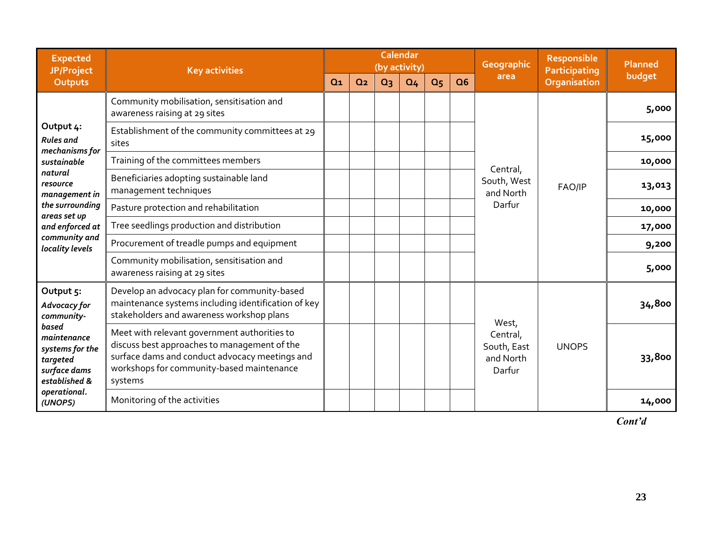| <b>Expected</b><br>JP/Project                                                        | <b>Key activities</b>                                                                                                                                                                                  |       |                | (by activity)  | <b>Calendar</b> |                |    | Geographic                                     | <b>Responsible</b><br><b>Participating</b> | <b>Planned</b> |
|--------------------------------------------------------------------------------------|--------------------------------------------------------------------------------------------------------------------------------------------------------------------------------------------------------|-------|----------------|----------------|-----------------|----------------|----|------------------------------------------------|--------------------------------------------|----------------|
| <b>Outputs</b>                                                                       |                                                                                                                                                                                                        | $Q_1$ | Q <sub>2</sub> | Q <sub>3</sub> | Q <sub>4</sub>  | Q <sub>5</sub> | Q6 | area                                           | <b>Organisation</b>                        | budget         |
|                                                                                      | Community mobilisation, sensitisation and<br>awareness raising at 29 sites                                                                                                                             |       |                |                |                 |                |    |                                                |                                            | 5,000          |
| Output 4:<br><b>Rules</b> and<br>mechanisms for                                      | Establishment of the community committees at 29<br>sites                                                                                                                                               |       |                |                | 15,000          |                |    |                                                |                                            |                |
| sustainable                                                                          | Training of the committees members<br>Central,                                                                                                                                                         |       | 10,000         |                |                 |                |    |                                                |                                            |                |
| natural<br>resource<br>management in                                                 | Beneficiaries adopting sustainable land<br>management techniques                                                                                                                                       |       |                |                |                 |                |    | South, West<br>and North                       | FAO/IP                                     | 13,013         |
| the surrounding<br>areas set up                                                      | Pasture protection and rehabilitation                                                                                                                                                                  |       |                |                |                 |                |    | Darfur                                         |                                            | 10,000         |
| and enforced at                                                                      | Tree seedlings production and distribution                                                                                                                                                             |       |                |                |                 |                |    |                                                |                                            | 17,000         |
| community and<br>locality levels                                                     | Procurement of treadle pumps and equipment                                                                                                                                                             |       |                |                |                 |                |    |                                                |                                            | 9,200          |
|                                                                                      | Community mobilisation, sensitisation and<br>awareness raising at 29 sites                                                                                                                             |       |                |                |                 |                |    |                                                |                                            | 5,000          |
| Output 5:<br>Advocacy for<br>community-                                              | Develop an advocacy plan for community-based<br>maintenance systems including identification of key<br>stakeholders and awareness workshop plans                                                       |       |                |                |                 |                |    | West,                                          |                                            | 34,800         |
| based<br>maintenance<br>systems for the<br>targeted<br>surface dams<br>established & | Meet with relevant government authorities to<br>discuss best approaches to management of the<br>surface dams and conduct advocacy meetings and<br>workshops for community-based maintenance<br>systems |       |                |                |                 |                |    | Central,<br>South, East<br>and North<br>Darfur | <b>UNOPS</b>                               | 33,800         |
| operational.<br>(UNOPS)                                                              | Monitoring of the activities                                                                                                                                                                           |       |                |                |                 |                |    |                                                |                                            | 14,000         |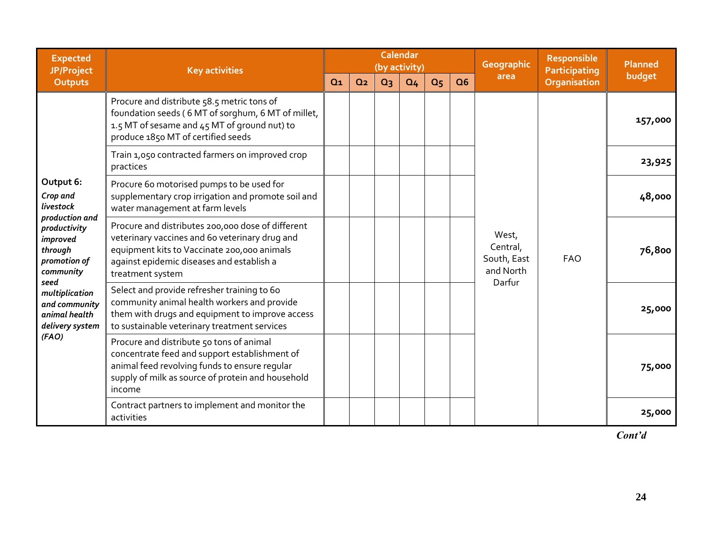| <b>Expected</b><br>JP/Project                                                      | <b>Key activities</b>                                                                                                                                                                                               |                |                |       | <b>Calendar</b><br>(by activity) |                |                | Geographic                                    | <b>Responsible</b><br>Participating | Planned |
|------------------------------------------------------------------------------------|---------------------------------------------------------------------------------------------------------------------------------------------------------------------------------------------------------------------|----------------|----------------|-------|----------------------------------|----------------|----------------|-----------------------------------------------|-------------------------------------|---------|
| <b>Outputs</b>                                                                     |                                                                                                                                                                                                                     | Q <sub>1</sub> | Q <sub>2</sub> | $Q_3$ | Q <sub>4</sub>                   | Q <sub>5</sub> | Q <sub>6</sub> | area                                          | <b>Organisation</b>                 | budget  |
|                                                                                    | Procure and distribute 58.5 metric tons of<br>foundation seeds (6 MT of sorghum, 6 MT of millet,<br>1.5 MT of sesame and 45 MT of ground nut) to<br>produce 1850 MT of certified seeds                              |                |                |       |                                  |                |                |                                               | <b>FAO</b>                          | 157,000 |
|                                                                                    | Train 1,050 contracted farmers on improved crop<br>practices                                                                                                                                                        |                |                |       |                                  |                |                |                                               |                                     | 23,925  |
| Output 6:<br>Crop and<br>livestock                                                 | Procure 60 motorised pumps to be used for<br>supplementary crop irrigation and promote soil and<br>water management at farm levels                                                                                  |                |                |       |                                  |                |                |                                               |                                     | 48,000  |
| production and<br>productivity<br>improved<br>through<br>promotion of<br>community | Procure and distributes 200,000 dose of different<br>veterinary vaccines and 60 veterinary drug and<br>equipment kits to Vaccinate 200,000 animals<br>against epidemic diseases and establish a<br>treatment system |                |                |       |                                  |                |                | West,<br>Central,<br>South, East<br>and North |                                     | 76,800  |
| seed<br>multiplication<br>and community<br>animal health<br>delivery system        | Select and provide refresher training to 60<br>community animal health workers and provide<br>them with drugs and equipment to improve access<br>to sustainable veterinary treatment services                       |                |                |       |                                  |                |                | Darfur                                        |                                     | 25,000  |
| (FAO)                                                                              | Procure and distribute 50 tons of animal<br>concentrate feed and support establishment of<br>animal feed revolving funds to ensure regular<br>supply of milk as source of protein and household<br>income           |                |                |       | 75,000                           |                |                |                                               |                                     |         |
|                                                                                    | Contract partners to implement and monitor the<br>activities                                                                                                                                                        |                |                |       |                                  |                |                |                                               |                                     | 25,000  |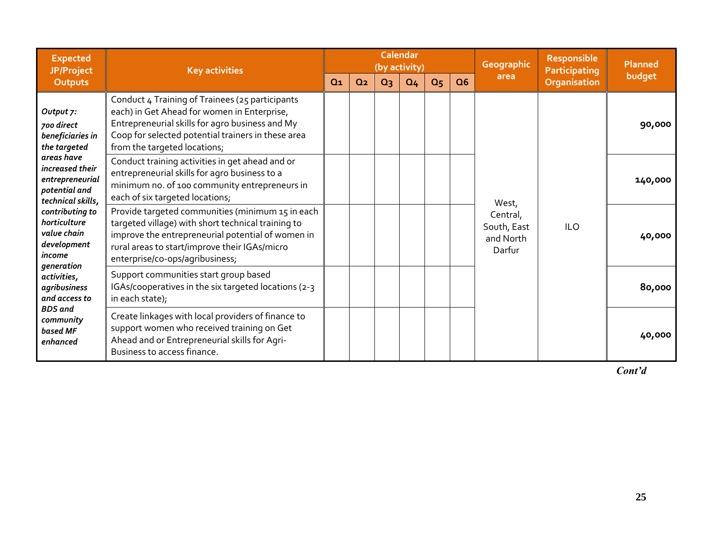| <b>Expected</b><br>JP/Project                                                          | <b>Key activities</b>                                                                                                                                                                                                                           |                |                |       | <b>Calendar</b><br>(by activity) |                |                                                              | <b>Geographic</b> | <b>Responsible</b><br><b>Participating</b> | <b>Planned</b> |
|----------------------------------------------------------------------------------------|-------------------------------------------------------------------------------------------------------------------------------------------------------------------------------------------------------------------------------------------------|----------------|----------------|-------|----------------------------------|----------------|--------------------------------------------------------------|-------------------|--------------------------------------------|----------------|
| <b>Outputs</b>                                                                         |                                                                                                                                                                                                                                                 | Q <sub>1</sub> | Q <sub>2</sub> | $Q_3$ | Q <sub>4</sub>                   | Q <sub>5</sub> | Q6                                                           | area              | <b>Organisation</b>                        | budget         |
| Output 7:<br>700 direct<br>beneficiaries in<br>the targeted                            | Conduct 4 Training of Trainees (25 participants<br>each) in Get Ahead for women in Enterprise,<br>Entrepreneurial skills for agro business and My<br>Coop for selected potential trainers in these area<br>from the targeted locations;         |                |                |       |                                  |                |                                                              |                   |                                            | 90,000         |
| areas have<br>increased their<br>entrepreneurial<br>potential and<br>technical skills, | Conduct training activities in get ahead and or<br>entrepreneurial skills for agro business to a<br>minimum no. of 100 community entrepreneurs in<br>each of six targeted locations;                                                            |                |                |       |                                  |                |                                                              | West,             |                                            | 140,000        |
| contributing to<br>horticulture<br>value chain<br>development<br>income<br>generation  | Provide targeted communities (minimum 15 in each<br>targeted village) with short technical training to<br>improve the entrepreneurial potential of women in<br>rural areas to start/improve their IGAs/micro<br>enterprise/co-ops/agribusiness; |                |                |       |                                  |                | Central,<br><b>ILO</b><br>South, East<br>and North<br>Darfur | 40,000            |                                            |                |
| activities,<br>agribusiness<br>and access to                                           | Support communities start group based<br>IGAs/cooperatives in the six targeted locations (2-3<br>in each state);                                                                                                                                |                |                |       |                                  |                |                                                              |                   |                                            | 80,000         |
| <b>BDS</b> and<br>community<br>based MF<br>enhanced                                    | Create linkages with local providers of finance to<br>support women who received training on Get<br>Ahead and or Entrepreneurial skills for Agri-<br>Business to access finance.                                                                |                |                |       |                                  |                |                                                              |                   |                                            | 40,000         |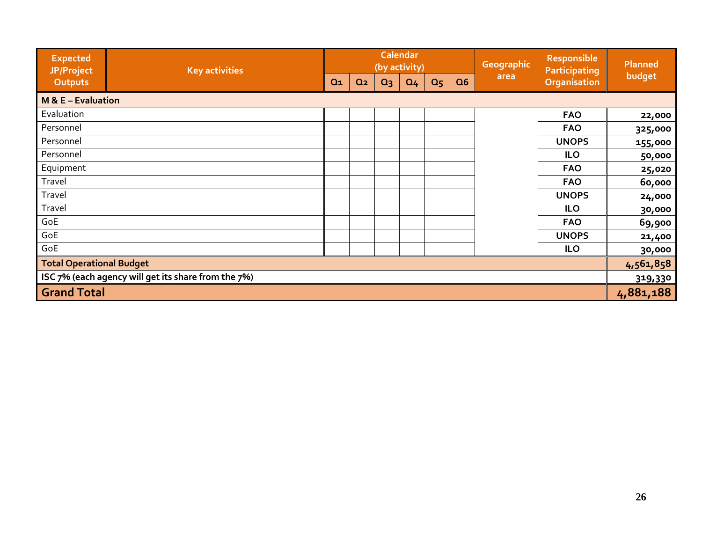| <b>Expected</b><br>JP/Project                       | <b>Key activities</b> |       |                |       | <b>Calendar</b><br>(by activity) |                |    | Geographic | Responsible<br>Participating<br>Organisation | Planned   |
|-----------------------------------------------------|-----------------------|-------|----------------|-------|----------------------------------|----------------|----|------------|----------------------------------------------|-----------|
| <b>Outputs</b>                                      |                       | $Q_1$ | Q <sub>2</sub> | $Q_3$ | Q <sub>4</sub>                   | Q <sub>5</sub> | Q6 | area       |                                              | budget    |
| $M & E - Evaluate$                                  |                       |       |                |       |                                  |                |    |            |                                              |           |
| Evaluation                                          |                       |       |                |       |                                  |                |    |            | <b>FAO</b>                                   | 22,000    |
| Personnel                                           |                       |       |                |       |                                  |                |    |            | <b>FAO</b>                                   | 325,000   |
| Personnel                                           |                       |       |                |       |                                  |                |    |            | <b>UNOPS</b>                                 | 155,000   |
| Personnel                                           |                       |       |                |       |                                  |                |    |            | <b>ILO</b>                                   | 50,000    |
| Equipment                                           |                       |       |                |       |                                  |                |    |            | <b>FAO</b>                                   | 25,020    |
| Travel                                              |                       |       |                |       |                                  |                |    |            | <b>FAO</b>                                   | 60,000    |
| Travel                                              |                       |       |                |       |                                  |                |    |            | <b>UNOPS</b>                                 | 24,000    |
| Travel                                              |                       |       |                |       |                                  |                |    |            | <b>ILO</b>                                   | 30,000    |
| GoE                                                 |                       |       |                |       |                                  |                |    |            | <b>FAO</b>                                   | 69,900    |
| GoE                                                 |                       |       |                |       |                                  |                |    |            | <b>UNOPS</b>                                 | 21,400    |
| GoE                                                 |                       |       |                |       |                                  |                |    |            | <b>ILO</b>                                   | 30,000    |
| Total Operational Budget                            |                       |       |                |       |                                  |                |    |            |                                              | 4,561,858 |
| 1SC 7% (each agency will get its share from the 7%) |                       |       |                |       |                                  |                |    | 319,330    |                                              |           |
| <b>Grand Total</b>                                  |                       |       |                |       |                                  |                |    |            |                                              | 4,881,188 |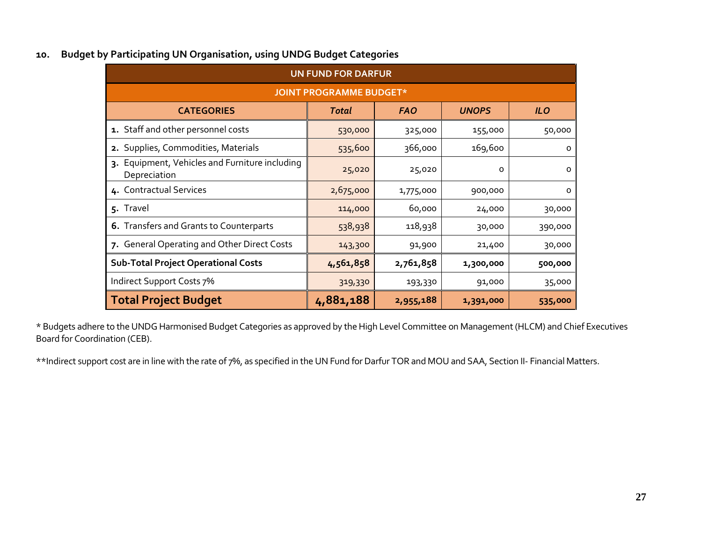| <b>UN FUND FOR DARFUR</b>                                      |              |            |              |            |  |  |  |  |  |  |  |
|----------------------------------------------------------------|--------------|------------|--------------|------------|--|--|--|--|--|--|--|
| <b>JOINT PROGRAMME BUDGET*</b>                                 |              |            |              |            |  |  |  |  |  |  |  |
| <b>CATEGORIES</b>                                              | <b>Total</b> | <b>FAO</b> | <b>UNOPS</b> | <b>ILO</b> |  |  |  |  |  |  |  |
| 1. Staff and other personnel costs                             | 530,000      | 325,000    | 155,000      | 50,000     |  |  |  |  |  |  |  |
| 2. Supplies, Commodities, Materials                            | 535,600      | 366,000    | 169,600      | O          |  |  |  |  |  |  |  |
| 3. Equipment, Vehicles and Furniture including<br>Depreciation | 25,020       | 25,020     | 0            | 0          |  |  |  |  |  |  |  |
| 4. Contractual Services                                        | 2,675,000    | 1,775,000  | 900,000      | O          |  |  |  |  |  |  |  |
| 5. Travel                                                      | 114,000      | 60,000     | 24,000       | 30,000     |  |  |  |  |  |  |  |
| 6. Transfers and Grants to Counterparts                        | 538,938      | 118,938    | 30,000       | 390,000    |  |  |  |  |  |  |  |
| 7. General Operating and Other Direct Costs                    | 143,300      | 91,900     | 21,400       | 30,000     |  |  |  |  |  |  |  |
| <b>Sub-Total Project Operational Costs</b>                     | 4,561,858    | 2,761,858  | 1,300,000    | 500,000    |  |  |  |  |  |  |  |
| Indirect Support Costs 7%                                      | 319,330      | 193,330    | 91,000       | 35,000     |  |  |  |  |  |  |  |
| <b>Total Project Budget</b>                                    | 4,881,188    | 2,955,188  | 1,391,000    | 535,000    |  |  |  |  |  |  |  |

#### **10. Budget by Participating UN Organisation, using UNDG Budget Categories**

<span id="page-29-0"></span>\* Budgets adhere to the UNDG Harmonised Budget Categories as approved by the High Level Committee on Management (HLCM) and Chief Executives Board for Coordination (CEB).

\*\*Indirect support cost are in line with the rate of 7%, as specified in the UN Fund for Darfur TOR and MOU and SAA, Section II- Financial Matters.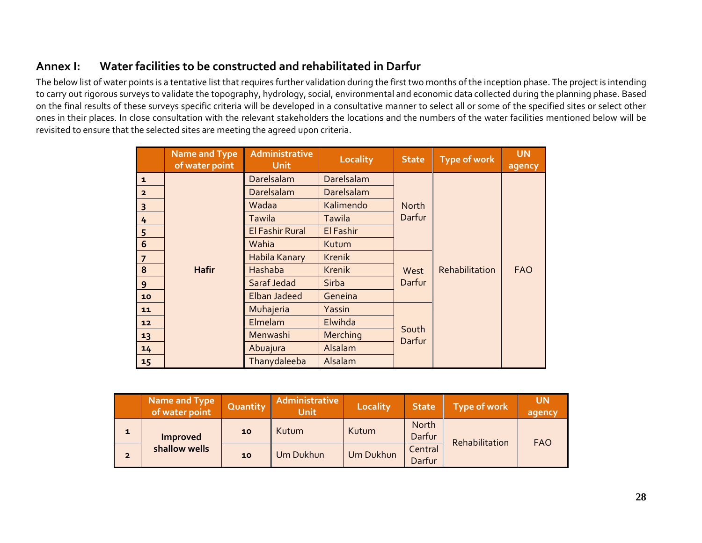### **Annex I: Water facilities to be constructed and rehabilitated in Darfur**

The below list of water points is a tentative list that requires further validation during the first two months of the inception phase. The project is intending to carry out rigorous surveys to validate the topography, hydrology, social, environmental and economic data collected during the planning phase. Based on the final results of these surveys specific criteria will be developed in a consultative manner to select all or some of the specified sites or select other ones in their places. In close consultation with the relevant stakeholders the locations and the numbers of the water facilities mentioned below will be revisited to ensure that the selected sites are meeting the agreed upon criteria.

<span id="page-30-0"></span>

|                 | <b>Name and Type</b><br>of water point | Administrative<br><b>Unit</b> | <b>Locality</b> | <b>State</b>    | <b>Type of work</b> | <b>UN</b><br>agency |
|-----------------|----------------------------------------|-------------------------------|-----------------|-----------------|---------------------|---------------------|
| $\mathbf{1}$    |                                        | Darelsalam                    | Darelsalam      |                 |                     |                     |
| $\overline{2}$  |                                        | Darelsalam                    | Darelsalam      |                 |                     |                     |
| 3               |                                        | Wadaa                         | Kalimendo       | North           |                     |                     |
| 4               |                                        | <b>Tawila</b>                 | Tawila          | Darfur          |                     |                     |
|                 |                                        | <b>El Fashir Rural</b>        | El Fashir       |                 | Rehabilitation      | <b>FAO</b>          |
| $\frac{5}{6}$   |                                        | Wahia                         | Kutum           |                 |                     |                     |
| $\overline{7}$  |                                        | Habila Kanary                 | <b>Krenik</b>   |                 |                     |                     |
| 8               | <b>Hafir</b>                           | Hashaba                       | <b>Krenik</b>   | West            |                     |                     |
| 9               |                                        | Saraf Jedad                   | <b>Sirba</b>    | Darfur          |                     |                     |
| 10              |                                        | <b>Elban Jadeed</b>           | Geneina         |                 |                     |                     |
| 11              |                                        | Muhajeria                     | Yassin          |                 |                     |                     |
| 12 <sub>2</sub> |                                        | Elmelam                       | Elwihda         |                 |                     |                     |
| 13              |                                        | Menwashi                      | Merching        | South<br>Darfur |                     |                     |
| 14              |                                        | Abuajura                      | Alsalam         |                 |                     |                     |
| 15              |                                        | Thanydaleeba                  | Alsalam         |                 |                     |                     |

|                | <b>Name and Type</b><br>of water point | Quantity        | Administrative<br><b>Unit</b> | Locality  | <b>State</b>      | <b>Type of work</b> | <b>UN</b><br>agency |
|----------------|----------------------------------------|-----------------|-------------------------------|-----------|-------------------|---------------------|---------------------|
| $\mathbf{1}$   | Improved                               | 10 <sub>1</sub> | Kutum                         | Kutum     | North<br>Darfur   | Rehabilitation      | <b>FAO</b>          |
| $\overline{2}$ | shallow wells                          | 10 <sub>1</sub> | Um Dukhun                     | Um Dukhun | Central<br>Darfur |                     |                     |